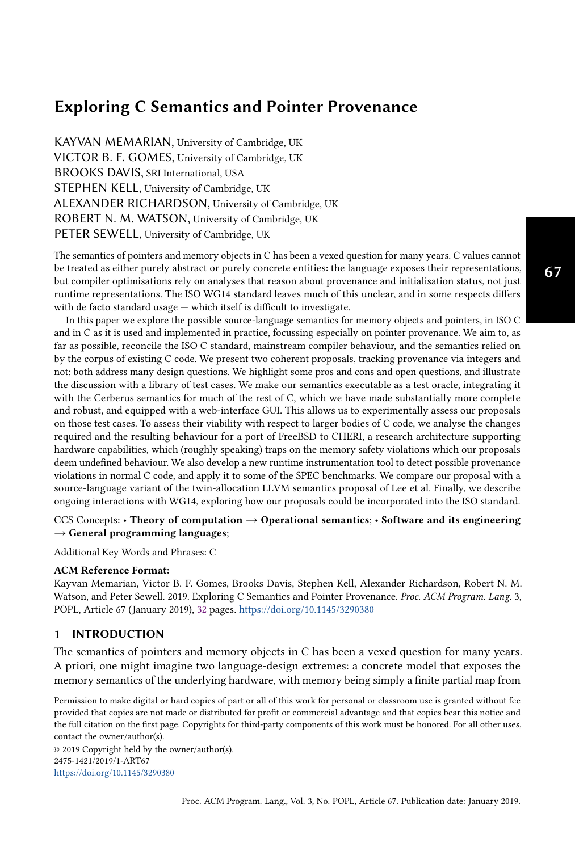KAYVAN MEMARIAN, University of Cambridge, UK VICTOR B. F. GOMES, University of Cambridge, UK BROOKS DAVIS, SRI International, USA STEPHEN KELL, University of Cambridge, UK ALEXANDER RICHARDSON, University of Cambridge, UK ROBERT N. M. WATSON, University of Cambridge, UK PETER SEWELL, University of Cambridge, UK

The semantics of pointers and memory objects in C has been a vexed question for many years. C values cannot be treated as either purely abstract or purely concrete entities: the language exposes their representations, but compiler optimisations rely on analyses that reason about provenance and initialisation status, not just runtime representations. The ISO WG14 standard leaves much of this unclear, and in some respects differs with de facto standard usage — which itself is difficult to investigate.

In this paper we explore the possible source-language semantics for memory objects and pointers, in ISO C and in C as it is used and implemented in practice, focussing especially on pointer provenance. We aim to, as far as possible, reconcile the ISO C standard, mainstream compiler behaviour, and the semantics relied on by the corpus of existing C code. We present two coherent proposals, tracking provenance via integers and not; both address many design questions. We highlight some pros and cons and open questions, and illustrate the discussion with a library of test cases. We make our semantics executable as a test oracle, integrating it with the Cerberus semantics for much of the rest of C, which we have made substantially more complete and robust, and equipped with a web-interface GUI. This allows us to experimentally assess our proposals on those test cases. To assess their viability with respect to larger bodies of C code, we analyse the changes required and the resulting behaviour for a port of FreeBSD to CHERI, a research architecture supporting hardware capabilities, which (roughly speaking) traps on the memory safety violations which our proposals deem undefined behaviour. We also develop a new runtime instrumentation tool to detect possible provenance violations in normal C code, and apply it to some of the SPEC benchmarks. We compare our proposal with a source-language variant of the twin-allocation LLVM semantics proposal of Lee et al. Finally, we describe ongoing interactions with WG14, exploring how our proposals could be incorporated into the ISO standard.

CCS Concepts: • Theory of computation  $\rightarrow$  Operational semantics; • Software and its engineering  $\rightarrow$  General programming languages;

Additional Key Words and Phrases: C

#### ACM Reference Format:

Kayvan Memarian, Victor B. F. Gomes, Brooks Davis, Stephen Kell, Alexander Richardson, Robert N. M. Watson, and Peter Sewell. 2019. Exploring C Semantics and Pointer Provenance. Proc. ACM Program. Lang. 3, POPL, Article 67 (January 2019), [32](#page-31-0) pages. <https://doi.org/10.1145/3290380>

## 1 INTRODUCTION

The semantics of pointers and memory objects in C has been a vexed question for many years. A priori, one might imagine two language-design extremes: a concrete model that exposes the memory semantics of the underlying hardware, with memory being simply a finite partial map from

© 2019 Copyright held by the owner/author(s). 2475-1421/2019/1-ART67 <https://doi.org/10.1145/3290380>

Permission to make digital or hard copies of part or all of this work for personal or classroom use is granted without fee provided that copies are not made or distributed for profit or commercial advantage and that copies bear this notice and the full citation on the first page. Copyrights for third-party components of this work must be honored. For all other uses, contact the owner/author(s).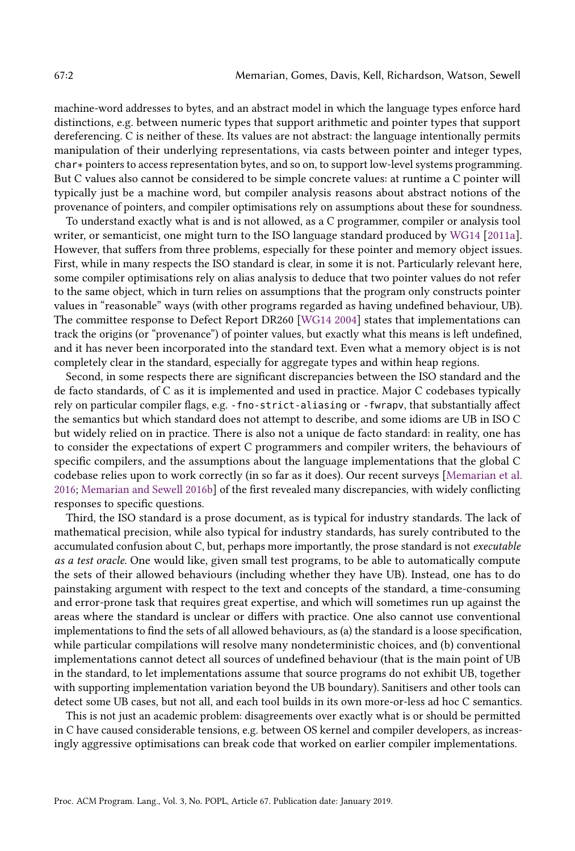machine-word addresses to bytes, and an abstract model in which the language types enforce hard distinctions, e.g. between numeric types that support arithmetic and pointer types that support dereferencing. C is neither of these. Its values are not abstract: the language intentionally permits manipulation of their underlying representations, via casts between pointer and integer types, char\* pointers to access representation bytes, and so on, to support low-level systems programming. But C values also cannot be considered to be simple concrete values: at runtime a C pointer will typically just be a machine word, but compiler analysis reasons about abstract notions of the provenance of pointers, and compiler optimisations rely on assumptions about these for soundness.

To understand exactly what is and is not allowed, as a C programmer, compiler or analysis tool writer, or semanticist, one might turn to the ISO language standard produced by [WG14](#page-31-1) [\[2011a\]](#page-31-1). However, that suffers from three problems, especially for these pointer and memory object issues. First, while in many respects the ISO standard is clear, in some it is not. Particularly relevant here, some compiler optimisations rely on alias analysis to deduce that two pointer values do not refer to the same object, which in turn relies on assumptions that the program only constructs pointer values in "reasonable" ways (with other programs regarded as having undefined behaviour, UB). The committee response to Defect Report DR260 [\[WG14](#page-31-2) [2004\]](#page-31-2) states that implementations can track the origins (or "provenance") of pointer values, but exactly what this means is left undefined, and it has never been incorporated into the standard text. Even what a memory object is is not completely clear in the standard, especially for aggregate types and within heap regions.

Second, in some respects there are significant discrepancies between the ISO standard and the de facto standards, of C as it is implemented and used in practice. Major C codebases typically rely on particular compiler flags, e.g. -fno-strict-aliasing or -fwrapv, that substantially affect the semantics but which standard does not attempt to describe, and some idioms are UB in ISO C but widely relied on in practice. There is also not a unique de facto standard: in reality, one has to consider the expectations of expert C programmers and compiler writers, the behaviours of specific compilers, and the assumptions about the language implementations that the global C codebase relies upon to work correctly (in so far as it does). Our recent surveys [\[Memarian et al.](#page-30-0) [2016;](#page-30-0) [Memarian and Sewell](#page-30-1) [2016b\]](#page-30-1) of the first revealed many discrepancies, with widely conflicting responses to specific questions.

Third, the ISO standard is a prose document, as is typical for industry standards. The lack of mathematical precision, while also typical for industry standards, has surely contributed to the accumulated confusion about C, but, perhaps more importantly, the prose standard is not executable as a test oracle. One would like, given small test programs, to be able to automatically compute the sets of their allowed behaviours (including whether they have UB). Instead, one has to do painstaking argument with respect to the text and concepts of the standard, a time-consuming and error-prone task that requires great expertise, and which will sometimes run up against the areas where the standard is unclear or differs with practice. One also cannot use conventional implementations to find the sets of all allowed behaviours, as (a) the standard is a loose specification, while particular compilations will resolve many nondeterministic choices, and (b) conventional implementations cannot detect all sources of undefined behaviour (that is the main point of UB in the standard, to let implementations assume that source programs do not exhibit UB, together with supporting implementation variation beyond the UB boundary). Sanitisers and other tools can detect some UB cases, but not all, and each tool builds in its own more-or-less ad hoc C semantics.

This is not just an academic problem: disagreements over exactly what is or should be permitted in C have caused considerable tensions, e.g. between OS kernel and compiler developers, as increasingly aggressive optimisations can break code that worked on earlier compiler implementations.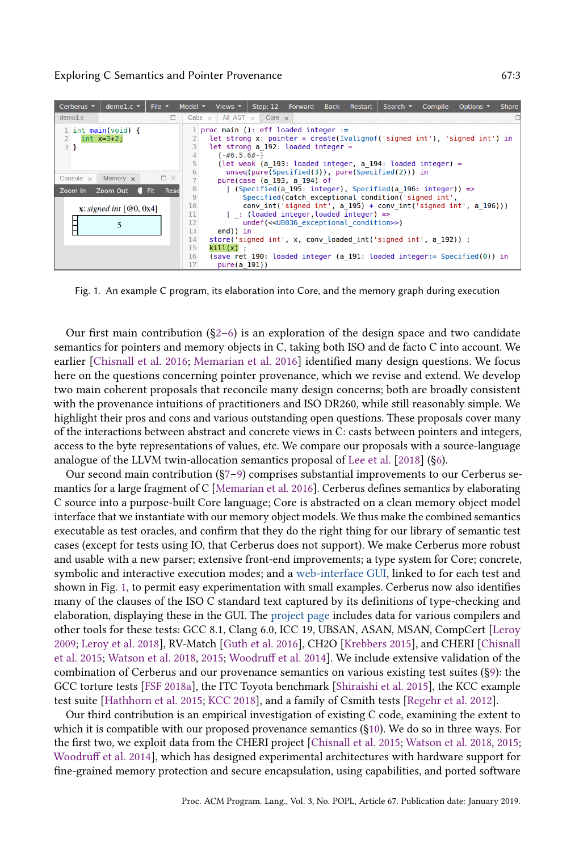<span id="page-2-0"></span>

Fig. 1. An example C program, its elaboration into Core, and the memory graph during execution

Our first main contribution  $(S2-6)$  $(S2-6)$  is an exploration of the design space and two candidate semantics for pointers and memory objects in C, taking both ISO and de facto C into account. We earlier [\[Chisnall et al.](#page-29-0) [2016;](#page-29-0) [Memarian et al.](#page-30-0) [2016\]](#page-30-0) identified many design questions. We focus here on the questions concerning pointer provenance, which we revise and extend. We develop two main coherent proposals that reconcile many design concerns; both are broadly consistent with the provenance intuitions of practitioners and ISO DR260, while still reasonably simple. We highlight their pros and cons and various outstanding open questions. These proposals cover many of the interactions between abstract and concrete views in C: casts between pointers and integers, access to the byte representations of values, etc. We compare our proposals with a source-language analogue of the LLVM twin-allocation semantics proposal of [Lee et al.](#page-30-2) [\[2018\]](#page-30-2) ([§6\)](#page-18-0).

Our second main contribution ([§7–](#page-19-0)[9\)](#page-21-0) comprises substantial improvements to our Cerberus semantics for a large fragment of C [\[Memarian et al.](#page-30-0) [2016\]](#page-30-0). Cerberus defines semantics by elaborating C source into a purpose-built Core language; Core is abstracted on a clean memory object model interface that we instantiate with our memory object models. We thus make the combined semantics executable as test oracles, and confirm that they do the right thing for our library of semantic test cases (except for tests using IO, that Cerberus does not support). We make Cerberus more robust and usable with a new parser; extensive front-end improvements; a type system for Core; concrete, symbolic and interactive execution modes; and a [web-interface GUI,](http://cerberus.cl.cam.ac.uk/) linked to for each test and shown in Fig. [1,](#page-2-0) to permit easy experimentation with small examples. Cerberus now also identifies many of the clauses of the ISO C standard text captured by its definitions of type-checking and elaboration, displaying these in the GUI. The [project page](https://www.cl.cam.ac.uk/users/pes20/cerberus) includes data for various compilers and other tools for these tests: GCC 8.1, Clang 6.0, ICC 19, UBSAN, ASAN, MSAN, CompCert [\[Leroy](#page-30-3) [2009;](#page-30-3) [Leroy et al.](#page-30-4) [2018\]](#page-30-4), RV-Match [\[Guth et al.](#page-29-1) [2016\]](#page-29-1), CH2O [\[Krebbers](#page-30-5) [2015\]](#page-30-5), and CHERI [\[Chisnall](#page-29-2) [et al.](#page-29-2) [2015;](#page-29-2) [Watson et al.](#page-31-3) [2018,](#page-31-3) [2015;](#page-31-4) [Woodruff et al.](#page-31-5) [2014\]](#page-31-5). We include extensive validation of the combination of Cerberus and our provenance semantics on various existing test suites ([§9\)](#page-21-0): the GCC torture tests [\[FSF](#page-29-3) [2018a\]](#page-29-3), the ITC Toyota benchmark [\[Shiraishi et al.](#page-31-6) [2015\]](#page-31-6), the KCC example test suite [\[Hathhorn et al.](#page-29-4) [2015;](#page-29-4) [KCC](#page-30-6) [2018\]](#page-30-6), and a family of Csmith tests [\[Regehr et al.](#page-31-7) [2012\]](#page-31-7).

Our third contribution is an empirical investigation of existing C code, examining the extent to which it is compatible with our proposed provenance semantics ([§10\)](#page-24-0). We do so in three ways. For the first two, we exploit data from the CHERI project [\[Chisnall et al.](#page-29-2) [2015;](#page-29-2) [Watson et al.](#page-31-3) [2018,](#page-31-3) [2015;](#page-31-4) [Woodruff et al.](#page-31-5) [2014\]](#page-31-5), which has designed experimental architectures with hardware support for fine-grained memory protection and secure encapsulation, using capabilities, and ported software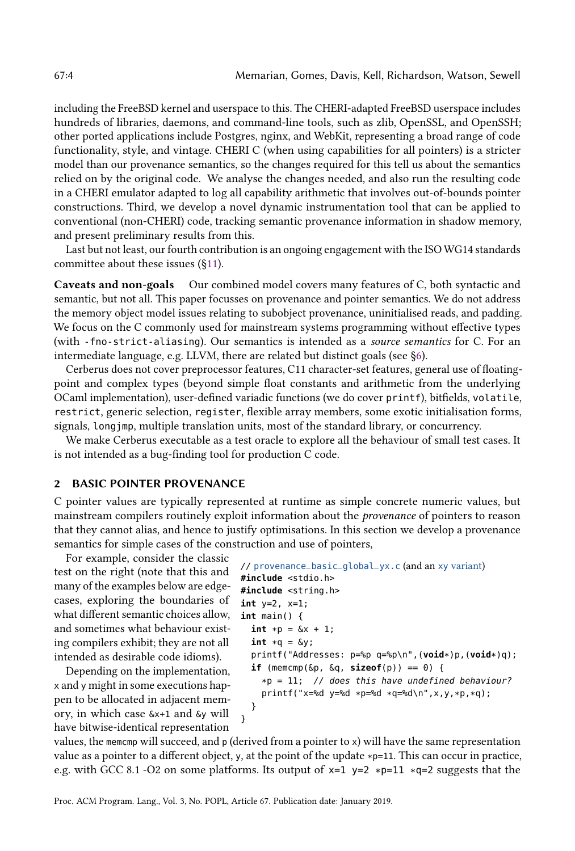including the FreeBSD kernel and userspace to this. The CHERI-adapted FreeBSD userspace includes hundreds of libraries, daemons, and command-line tools, such as zlib, OpenSSL, and OpenSSH; other ported applications include Postgres, nginx, and WebKit, representing a broad range of code functionality, style, and vintage. CHERI C (when using capabilities for all pointers) is a stricter model than our provenance semantics, so the changes required for this tell us about the semantics relied on by the original code. We analyse the changes needed, and also run the resulting code in a CHERI emulator adapted to log all capability arithmetic that involves out-of-bounds pointer constructions. Third, we develop a novel dynamic instrumentation tool that can be applied to conventional (non-CHERI) code, tracking semantic provenance information in shadow memory, and present preliminary results from this.

Last but not least, our fourth contribution is an ongoing engagement with the ISO WG14 standards committee about these issues ([§11\)](#page-26-0).

Caveats and non-goals Our combined model covers many features of C, both syntactic and semantic, but not all. This paper focusses on provenance and pointer semantics. We do not address the memory object model issues relating to subobject provenance, uninitialised reads, and padding. We focus on the C commonly used for mainstream systems programming without effective types (with -fno-strict-aliasing). Our semantics is intended as a source semantics for C. For an intermediate language, e.g. LLVM, there are related but distinct goals (see [§6\)](#page-18-0).

Cerberus does not cover preprocessor features, C11 character-set features, general use of floatingpoint and complex types (beyond simple float constants and arithmetic from the underlying OCaml implementation), user-defined variadic functions (we do cover printf), bitfields, volatile, restrict, generic selection, register, flexible array members, some exotic initialisation forms, signals, longjmp, multiple translation units, most of the standard library, or concurrency.

We make Cerberus executable as a test oracle to explore all the behaviour of small test cases. It is not intended as a bug-finding tool for production C code.

#### <span id="page-3-0"></span>2 BASIC POINTER PROVENANCE

C pointer values are typically represented at runtime as simple concrete numeric values, but mainstream compilers routinely exploit information about the provenance of pointers to reason that they cannot alias, and hence to justify optimisations. In this section we develop a provenance semantics for simple cases of the construction and use of pointers,

For example, consider the classic test on the right (note that this and many of the examples below are edgecases, exploring the boundaries of what different semantic choices allow, and sometimes what behaviour existing compilers exhibit; they are not all intended as desirable code idioms).

Depending on the implementation, <sup>x</sup> and <sup>y</sup> might in some executions happen to be allocated in adjacent memory, in which case &x+1 and &y will have bitwise-identical representation

```
// provenance_basic_global_yx.c (and an xy variant)
#include <stdio.h>
#include <string.h>
int y=2, x=1;
int main() {
  int *p = 6x + 1;int *q = \delta y;printf("Addresses: p=%p q=%p\n",(void*)p,(void*)q);
  if (memcmp(\&p, \&q, sizeof(p)) == 0) {
    *p = 11; // does this have undefined behaviour?
    printf("x=%d y=%d *p=%d *q=%d\n",x,y,*p,*q);
  }
}
```
values, the memcmp will succeed, and  $p$  (derived from a pointer to  $x$ ) will have the same representation value as a pointer to a different object, <sup>y</sup>, at the point of the update \*p=11. This can occur in practice, e.g. with GCC 8.1 -O2 on some platforms. Its output of  $x=1$   $y=2$   $\not=$   $p=11$   $\not=$   $q=2$  suggests that the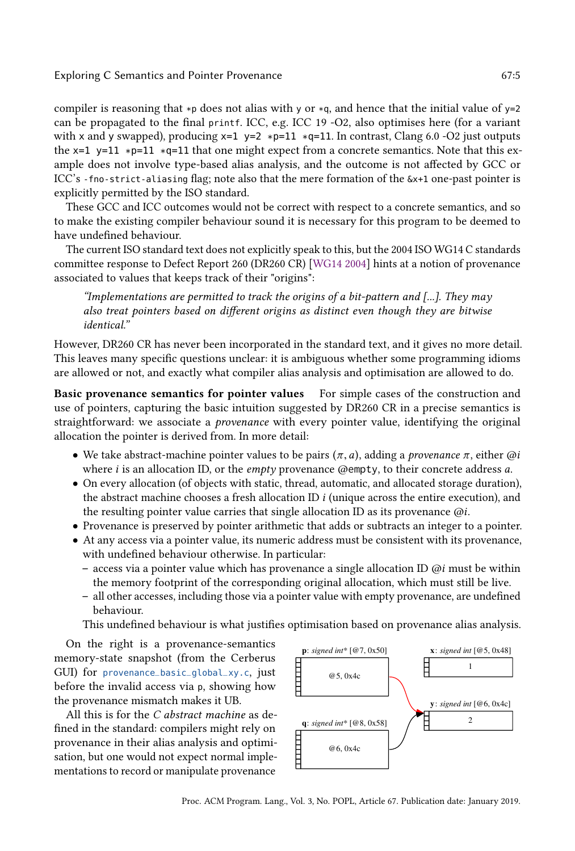compiler is reasoning that \*p does not alias with y or \*q, and hence that the initial value of y=2 can be propagated to the final printf. ICC, e.g. ICC 19 -O2, also optimises here (for a variant with x and y swapped), producing  $x=1$   $y=2$   $\ast p=11$   $\ast q=11$ . In contrast, Clang 6.0 -O2 just outputs the  $x=1$  y=11 \*p=11 \*q=11 that one might expect from a concrete semantics. Note that this example does not involve type-based alias analysis, and the outcome is not affected by GCC or ICC's -fno-strict-aliasing flag; note also that the mere formation of the &x+1 one-past pointer is explicitly permitted by the ISO standard.

These GCC and ICC outcomes would not be correct with respect to a concrete semantics, and so to make the existing compiler behaviour sound it is necessary for this program to be deemed to have undefined behaviour.

The current ISO standard text does not explicitly speak to this, but the 2004 ISO WG14 C standards committee response to Defect Report 260 (DR260 CR) [\[WG14](#page-31-2) [2004\]](#page-31-2) hints at a notion of provenance associated to values that keeps track of their "origins":

"Implementations are permitted to track the origins of a bit-pattern and [...]. They may also treat pointers based on different origins as distinct even though they are bitwise identical."

However, DR260 CR has never been incorporated in the standard text, and it gives no more detail. This leaves many specific questions unclear: it is ambiguous whether some programming idioms are allowed or not, and exactly what compiler alias analysis and optimisation are allowed to do.

Basic provenance semantics for pointer values For simple cases of the construction and use of pointers, capturing the basic intuition suggested by DR260 CR in a precise semantics is straightforward: we associate a provenance with every pointer value, identifying the original allocation the pointer is derived from. In more detail:

- We take abstract-machine pointer values to be pairs  $(\pi, a)$ , adding a *provenance*  $\pi$ , either  $\omega$ *i* where *i* is an allocation ID, or the *empty* provenance @empty, to their concrete address *a*.
- On every allocation (of objects with static, thread, automatic, and allocated storage duration), the abstract machine chooses a fresh allocation ID  $i$  (unique across the entire execution), and the resulting pointer value carries that single allocation ID as its provenance  $\omega$ *i*.
- Provenance is preserved by pointer arithmetic that adds or subtracts an integer to a pointer.
- At any access via a pointer value, its numeric address must be consistent with its provenance, with undefined behaviour otherwise. In particular:
	- access via a pointer value which has provenance a single allocation ID  $@i$  must be within the memory footprint of the corresponding original allocation, which must still be live.
	- all other accesses, including those via a pointer value with empty provenance, are undefined behaviour.

This undefined behaviour is what justifies optimisation based on provenance alias analysis.

On the right is a provenance-semantics memory-state snapshot (from the Cerberus GUI) for [provenance\\_basic\\_global\\_xy.c](https://cerberus.cl.cam.ac.uk/cerberus?defacto/provenance_basic_global_xy.c), just before the invalid access via <sup>p</sup>, showing how the provenance mismatch makes it UB.

 mentations to record or manipulate provenance All this is for the C abstract machine as defined in the standard: compilers might rely on provenance in their alias analysis and optimisation, but one would not expect normal imple-

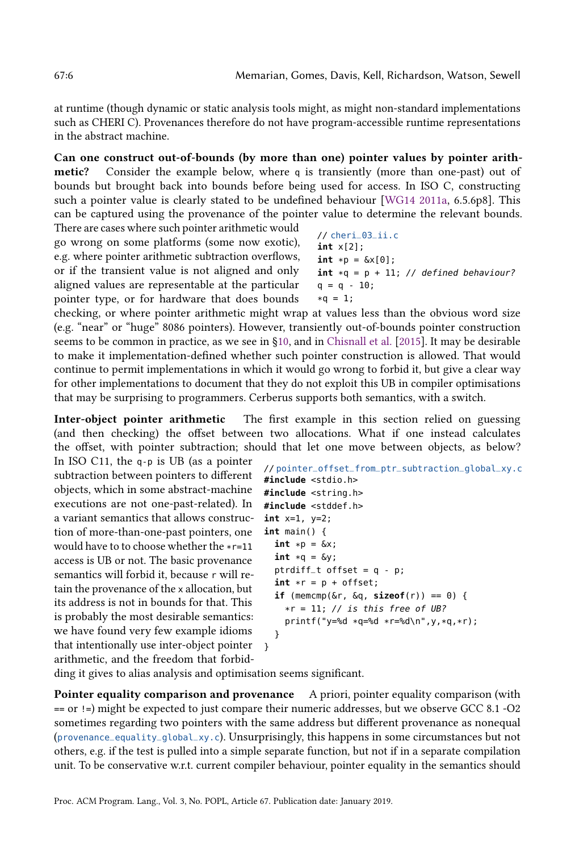at runtime (though dynamic or static analysis tools might, as might non-standard implementations such as CHERI C). Provenances therefore do not have program-accessible runtime representations in the abstract machine.

Can one construct out-of-bounds (by more than one) pointer values by pointer arithmetic? Consider the example below, where <sup>q</sup> is transiently (more than one-past) out of bounds but brought back into bounds before being used for access. In ISO C, constructing such a pointer value is clearly stated to be undefined behaviour [\[WG14](#page-31-1) [2011a,](#page-31-1) 6.5.6p8]. This can be captured using the provenance of the pointer value to determine the relevant bounds.

There are cases where such pointer arithmetic would go wrong on some platforms (some now exotic), e.g. where pointer arithmetic subtraction overflows, or if the transient value is not aligned and only aligned values are representable at the particular pointer type, or for hardware that does bounds

// [cheri\\_03\\_ii.c](https://cerberus.cl.cam.ac.uk/cerberus?defacto/cheri_03_ii.c) **int** x[2];  $int *p = \&x[0];$  $int *q = p + 11$ ; // defined behaviour?  $q = q - 10;$  $*q = 1;$ 

checking, or where pointer arithmetic might wrap at values less than the obvious word size (e.g. "near" or "huge" 8086 pointers). However, transiently out-of-bounds pointer construction seems to be common in practice, as we see in [§10,](#page-24-0) and in [Chisnall et al.](#page-29-2) [\[2015\]](#page-29-2). It may be desirable to make it implementation-defined whether such pointer construction is allowed. That would continue to permit implementations in which it would go wrong to forbid it, but give a clear way for other implementations to document that they do not exploit this UB in compiler optimisations that may be surprising to programmers. Cerberus supports both semantics, with a switch.

Inter-object pointer arithmetic The first example in this section relied on guessing (and then checking) the offset between two allocations. What if one instead calculates the offset, with pointer subtraction; should that let one move between objects, as below?

In ISO C11, the q-p is UB (as a pointer subtraction between pointers to different objects, which in some abstract-machine executions are not one-past-related). In a variant semantics that allows construction of more-than-one-past pointers, one would have to to choose whether the \*r=11 access is UB or not. The basic provenance semantics will forbid it, because <sup>r</sup> will retain the provenance of the <sup>x</sup> allocation, but its address is not in bounds for that. This is probably the most desirable semantics: we have found very few example idioms that intentionally use inter-object pointer arithmetic, and the freedom that forbid-

```
// pointer_offset_from_ptr_subtraction_global_xy.c
#include <stdio.h>
#include <string.h>
#include <stddef.h>
int x=1, y=2;
int main() {
  int *p = \&x;int *q = \&y;ptrdiff_t offset = q - p;
  int *r = p + offset;if (memcmp(\&r, \&q, sizeof(r)) == 0) {
    *r = 11; // is this free of UB?
    printf("y=%d *q=%d *r=%d\n",y,*q, *r);
  }
}
```
ding it gives to alias analysis and optimisation seems significant.

Pointer equality comparison and provenance A priori, pointer equality comparison (with == or !=) might be expected to just compare their numeric addresses, but we observe GCC 8.1 -O2 sometimes regarding two pointers with the same address but different provenance as nonequal ([provenance\\_equality\\_global\\_xy.c](https://cerberus.cl.cam.ac.uk/cerberus?defacto/provenance_equality_global_xy.c)). Unsurprisingly, this happens in some circumstances but not others, e.g. if the test is pulled into a simple separate function, but not if in a separate compilation unit. To be conservative w.r.t. current compiler behaviour, pointer equality in the semantics should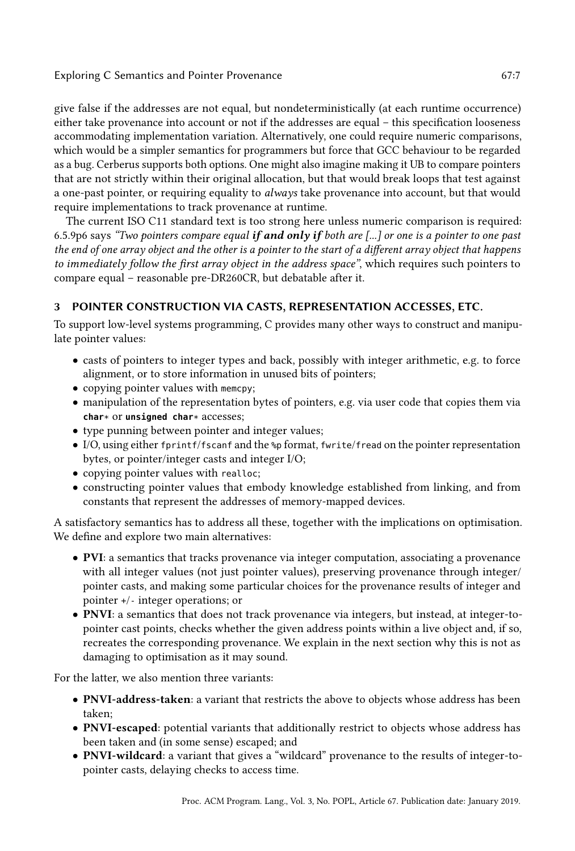give false if the addresses are not equal, but nondeterministically (at each runtime occurrence) either take provenance into account or not if the addresses are equal – this specification looseness accommodating implementation variation. Alternatively, one could require numeric comparisons, which would be a simpler semantics for programmers but force that GCC behaviour to be regarded as a bug. Cerberus supports both options. One might also imagine making it UB to compare pointers that are not strictly within their original allocation, but that would break loops that test against a one-past pointer, or requiring equality to always take provenance into account, but that would require implementations to track provenance at runtime.

The current ISO C11 standard text is too strong here unless numeric comparison is required: 6.5.9p6 says "Two pointers compare equal if and only if both are  $\left[\ldots\right]$  or one is a pointer to one past the end of one array object and the other is a pointer to the start of a different array object that happens to immediately follow the first array object in the address space", which requires such pointers to compare equal – reasonable pre-DR260CR, but debatable after it.

## 3 POINTER CONSTRUCTION VIA CASTS, REPRESENTATION ACCESSES, ETC.

To support low-level systems programming, C provides many other ways to construct and manipulate pointer values:

- casts of pointers to integer types and back, possibly with integer arithmetic, e.g. to force alignment, or to store information in unused bits of pointers;
- copying pointer values with memcpy;
- manipulation of the representation bytes of pointers, e.g. via user code that copies them via **char**\* or **unsigned char**\* accesses;
- type punning between pointer and integer values;
- I/O, using either fprintf/fscanf and the %p format, fwrite/fread on the pointer representation bytes, or pointer/integer casts and integer I/O;
- copying pointer values with realloc;
- constructing pointer values that embody knowledge established from linking, and from constants that represent the addresses of memory-mapped devices.

A satisfactory semantics has to address all these, together with the implications on optimisation. We define and explore two main alternatives:

- PVI: a semantics that tracks provenance via integer computation, associating a provenance with all integer values (not just pointer values), preserving provenance through integer/ pointer casts, and making some particular choices for the provenance results of integer and pointer <sup>+</sup>/- integer operations; or
- PNVI: a semantics that does not track provenance via integers, but instead, at integer-topointer cast points, checks whether the given address points within a live object and, if so, recreates the corresponding provenance. We explain in the next section why this is not as damaging to optimisation as it may sound.

For the latter, we also mention three variants:

- PNVI-address-taken: a variant that restricts the above to objects whose address has been taken;
- PNVI-escaped: potential variants that additionally restrict to objects whose address has been taken and (in some sense) escaped; and
- PNVI-wildcard: a variant that gives a "wildcard" provenance to the results of integer-topointer casts, delaying checks to access time.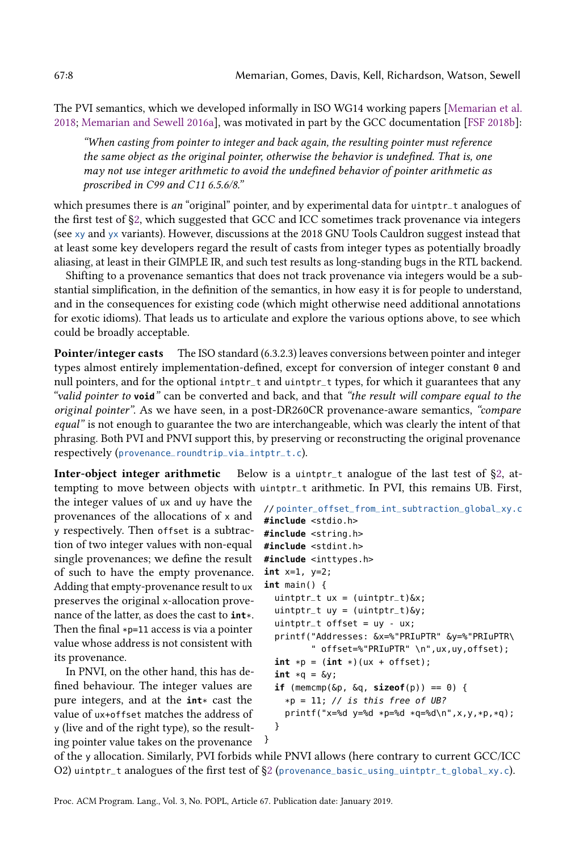The PVI semantics, which we developed informally in ISO WG14 working papers [\[Memarian et al.](#page-30-7) [2018;](#page-30-7) [Memarian and Sewell](#page-30-8) [2016a\]](#page-30-8), was motivated in part by the GCC documentation [\[FSF](#page-29-5) [2018b\]](#page-29-5):

"When casting from pointer to integer and back again, the resulting pointer must reference the same object as the original pointer, otherwise the behavior is undefined. That is, one may not use integer arithmetic to avoid the undefined behavior of pointer arithmetic as proscribed in C99 and C11 6.5.6/8."

which presumes there is an "original" pointer, and by experimental data for  $uintptr_t$  analogues of the first test of [§2,](#page-3-0) which suggested that GCC and ICC sometimes track provenance via integers (see [xy](https://cerberus.cl.cam.ac.uk/cerberus?defacto/provenance_basic_using_uintptr_t_global_xy.c) and [yx](https://cerberus.cl.cam.ac.uk/cerberus?defacto/provenance_basic_using_uintptr_t_global_yx.c) variants). However, discussions at the 2018 GNU Tools Cauldron suggest instead that at least some key developers regard the result of casts from integer types as potentially broadly aliasing, at least in their GIMPLE IR, and such test results as long-standing bugs in the RTL backend.

Shifting to a provenance semantics that does not track provenance via integers would be a substantial simplification, in the definition of the semantics, in how easy it is for people to understand, and in the consequences for existing code (which might otherwise need additional annotations for exotic idioms). That leads us to articulate and explore the various options above, to see which could be broadly acceptable.

Pointer/integer casts The ISO standard (6.3.2.3) leaves conversions between pointer and integer types almost entirely implementation-defined, except for conversion of integer constant <sup>0</sup> and null pointers, and for the optional intptr\_t and uintptr\_t types, for which it guarantees that any "valid pointer to **void**" can be converted and back, and that "the result will compare equal to the original pointer". As we have seen, in a post-DR260CR provenance-aware semantics, "compare equal" is not enough to guarantee the two are interchangeable, which was clearly the intent of that phrasing. Both PVI and PNVI support this, by preserving or reconstructing the original provenance respectively ([provenance\\_roundtrip\\_via\\_intptr\\_t.c](https://cerberus.cl.cam.ac.uk/cerberus?defacto/provenance_roundtrip_via_intptr_t.c)).

**Inter-object integer arithmetic** Below is a uintptr<sub> $t$ </sub> analogue of the last test of  $\S$ 2, attempting to move between objects with uintptr\_t arithmetic. In PVI, this remains UB. First,

the integer values of ux and uy have the provenances of the allocations of <sup>x</sup> and <sup>y</sup> respectively. Then offset is a subtraction of two integer values with non-equal single provenances; we define the result of such to have the empty provenance. Adding that empty-provenance result to ux preserves the original <sup>x</sup>-allocation provenance of the latter, as does the cast to **int**\*. Then the final  $*p=11$  access is via a pointer value whose address is not consistent with its provenance.

In PNVI, on the other hand, this has defined behaviour. The integer values are pure integers, and at the **int**\* cast the value of ux+offset matches the address of <sup>y</sup> (live and of the right type), so the resulting pointer value takes on the provenance

```
// pointer_offset_from_int_subtraction_global_xy.c
#include <stdio.h>
#include <string.h>
#include <stdint.h>
#include <inttypes.h>
int x=1, y=2;
int main() {
  uintptr_t ux = (uintptr_t)\&x;uintptr_t uy = (uintptr_t)\delta y;uintptr_t offset = uy - ux;printf("Addresses: &x=%"PRIuPTR" &y=%"PRIuPTR\
         " offset=%"PRIuPTR" \n",ux,uy,offset);
  int *p = (int *)(ux + offset);int *q = \&y;if (memcmp(\&p, \&q, sizeof(p)) == 0) {
    *p = 11; // is this free of UB?
    printf("x=%d y=%d *p=%d *q=%d\n",x,y,*p,*q);
  }
}
```
of the <sup>y</sup> allocation. Similarly, PVI forbids while PNVI allows (here contrary to current GCC/ICC O2) uintptr\_t analogues of the first test of [§2](#page-3-0) ([provenance\\_basic\\_using\\_uintptr\\_t\\_global\\_xy.c](https://cerberus.cl.cam.ac.uk/cerberus?defacto/provenance_basic_using_uintptr_t_global_xy.c)).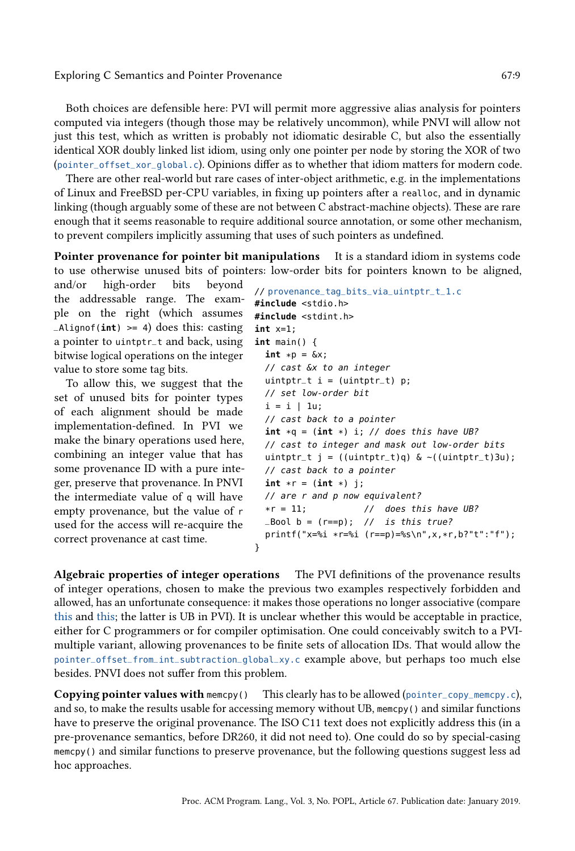Both choices are defensible here: PVI will permit more aggressive alias analysis for pointers computed via integers (though those may be relatively uncommon), while PNVI will allow not just this test, which as written is probably not idiomatic desirable C, but also the essentially identical XOR doubly linked list idiom, using only one pointer per node by storing the XOR of two ([pointer\\_offset\\_xor\\_global.c](https://cerberus.cl.cam.ac.uk/cerberus?defacto/pointer_offset_xor_global.c)). Opinions differ as to whether that idiom matters for modern code.

There are other real-world but rare cases of inter-object arithmetic, e.g. in the implementations of Linux and FreeBSD per-CPU variables, in fixing up pointers after a realloc, and in dynamic linking (though arguably some of these are not between C abstract-machine objects). These are rare enough that it seems reasonable to require additional source annotation, or some other mechanism, to prevent compilers implicitly assuming that uses of such pointers as undefined.

Pointer provenance for pointer bit manipulations It is a standard idiom in systems code to use otherwise unused bits of pointers: low-order bits for pointers known to be aligned,

and/or high-order bits beyond the addressable range. The example on the right (which assumes \_Alignof(**int**) >= 4) does this: casting a pointer to uintptr\_t and back, using bitwise logical operations on the integer value to store some tag bits.

To allow this, we suggest that the set of unused bits for pointer types of each alignment should be made implementation-defined. In PVI we make the binary operations used here, combining an integer value that has some provenance ID with a pure integer, preserve that provenance. In PNVI the intermediate value of <sup>q</sup> will have empty provenance, but the value of <sup>r</sup> used for the access will re-acquire the correct provenance at cast time.

```
// provenance_tag_bits_via_uintptr_t_1.c
#include <stdio.h>
#include <stdint.h>
int x=1;
int main() {
  int *p = \&x;// cast &x to an integer
  uintptr_t i = (uintptr_t) p;
  // set low-order bit
  i = i + 1u;// cast back to a pointer
  int *q = (int *) i; // does this have <i>UB</i>?// cast to integer and mask out low-order bits
  uintptr_t j = ((uintptr_t)q) & \sim((uintptr_t)3u);
  // cast back to a pointer
  int *r = (int *) j;
  // are r and p now equivalent?
  *r = 11; // does this have UB?
  -Bool b = (r==p); // is this true?
  printf("x=%i *r=%i (r==p)=%s\n",x,*r,b?"t":"f");
}
```
Algebraic properties of integer operations The PVI definitions of the provenance results of integer operations, chosen to make the previous two examples respectively forbidden and allowed, has an unfortunate consequence: it makes those operations no longer associative (compare [this](https://cerberus.cl.cam.ac.uk/cerberus?defacto/pointer_arith_algebraic_properties_2_global.c) and [this;](https://cerberus.cl.cam.ac.uk/cerberus?defacto/pointer_arith_algebraic_properties_3_global.c) the latter is UB in PVI). It is unclear whether this would be acceptable in practice, either for C programmers or for compiler optimisation. One could conceivably switch to a PVImultiple variant, allowing provenances to be finite sets of allocation IDs. That would allow the [pointer\\_offset\\_from\\_int\\_subtraction\\_global\\_xy.c](https://cerberus.cl.cam.ac.uk/cerberus?defacto/pointer_offset_from_int_subtraction_global_xy.c) example above, but perhaps too much else besides. PNVI does not suffer from this problem.

Copying pointer values with memcpy() This clearly has to be allowed ([pointer\\_copy\\_memcpy.c](https://cerberus.cl.cam.ac.uk/cerberus?defacto/pointer_copy_memcpy.c)), and so, to make the results usable for accessing memory without UB, memcpy() and similar functions have to preserve the original provenance. The ISO C11 text does not explicitly address this (in a pre-provenance semantics, before DR260, it did not need to). One could do so by special-casing memcpy() and similar functions to preserve provenance, but the following questions suggest less ad hoc approaches.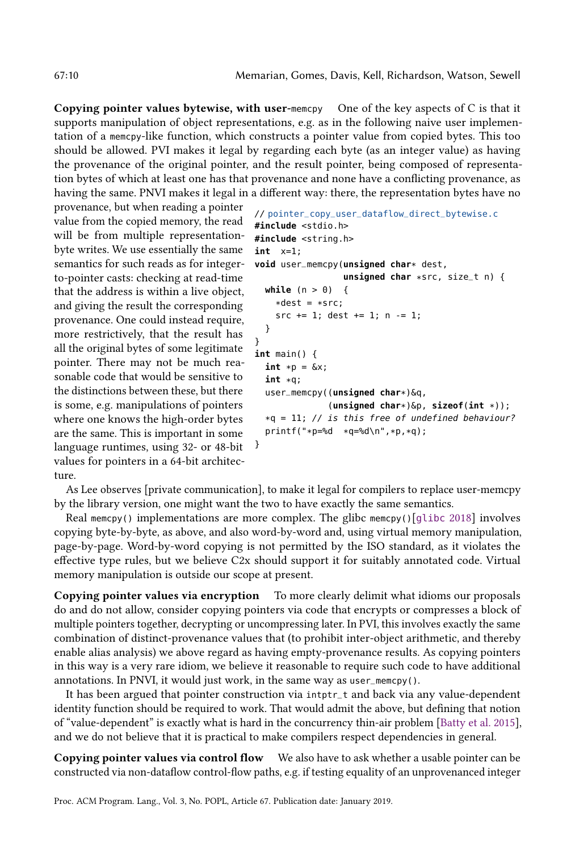Copying pointer values bytewise, with user-memcpy One of the key aspects of C is that it supports manipulation of object representations, e.g. as in the following naive user implementation of a memcpy-like function, which constructs a pointer value from copied bytes. This too should be allowed. PVI makes it legal by regarding each byte (as an integer value) as having the provenance of the original pointer, and the result pointer, being composed of representation bytes of which at least one has that provenance and none have a conflicting provenance, as having the same. PNVI makes it legal in a different way: there, the representation bytes have no

provenance, but when reading a pointer value from the copied memory, the read will be from multiple representationbyte writes. We use essentially the same semantics for such reads as for integerto-pointer casts: checking at read-time that the address is within a live object, and giving the result the corresponding provenance. One could instead require, more restrictively, that the result has all the original bytes of some legitimate pointer. There may not be much reasonable code that would be sensitive to the distinctions between these, but there is some, e.g. manipulations of pointers where one knows the high-order bytes are the same. This is important in some language runtimes, using 32- or 48-bit values for pointers in a 64-bit architecture.

```
// pointer_copy_user_dataflow_direct_bytewise.c
#include <stdio.h>
#include <string.h>
int x=1;
void user_memcpy(unsigned char* dest,
                 unsigned char *src, size_t n) {
 while (n > 0) {
    *dest = *src;src += 1; dest += 1; n -= 1;
 }
}
int main() {
 int *p = \&x;int *q;
 user_memcpy((unsigned char*)&q,
              (unsigned char*)&p, sizeof(int *));
  *q = 11; // is this free of undefined behaviour?
 printf("*p=%d *q=%d\n",*p,*q);
}
```
As Lee observes [private communication], to make it legal for compilers to replace user-memcpy by the library version, one might want the two to have exactly the same semantics.

Real memcpy() implementations are more complex. The [glibc](#page-31-8) memcpy()[glibc [2018\]](#page-31-8) involves copying byte-by-byte, as above, and also word-by-word and, using virtual memory manipulation, page-by-page. Word-by-word copying is not permitted by the ISO standard, as it violates the effective type rules, but we believe C2x should support it for suitably annotated code. Virtual memory manipulation is outside our scope at present.

Copying pointer values via encryption To more clearly delimit what idioms our proposals do and do not allow, consider copying pointers via code that encrypts or compresses a block of multiple pointers together, decrypting or uncompressing later. In PVI, this involves exactly the same combination of distinct-provenance values that (to prohibit inter-object arithmetic, and thereby enable alias analysis) we above regard as having empty-provenance results. As copying pointers in this way is a very rare idiom, we believe it reasonable to require such code to have additional annotations. In PNVI, it would just work, in the same way as user\_memcpy().

It has been argued that pointer construction via intptr\_t and back via any value-dependent identity function should be required to work. That would admit the above, but defining that notion of "value-dependent" is exactly what is hard in the concurrency thin-air problem [\[Batty et al.](#page-29-6) [2015\]](#page-29-6), and we do not believe that it is practical to make compilers respect dependencies in general.

Copying pointer values via control flow We also have to ask whether a usable pointer can be constructed via non-dataflow control-flow paths, e.g. if testing equality of an unprovenanced integer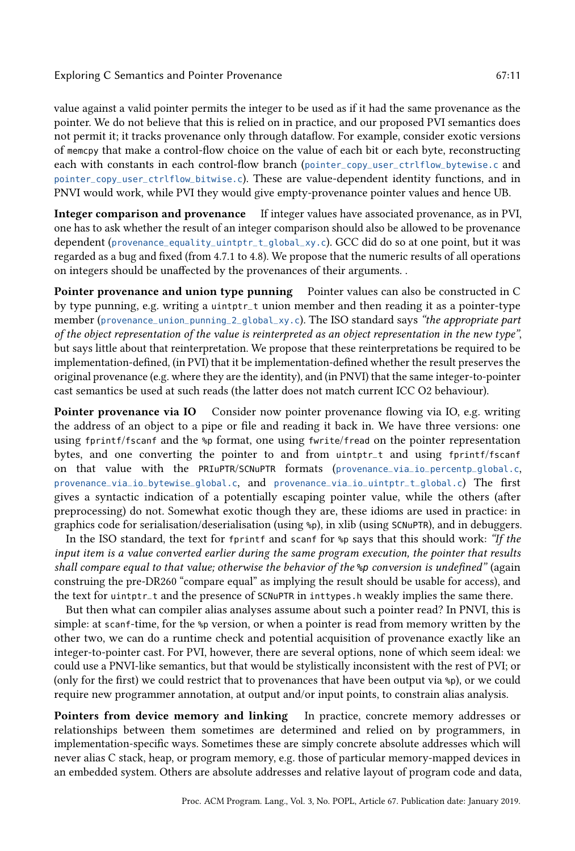value against a valid pointer permits the integer to be used as if it had the same provenance as the pointer. We do not believe that this is relied on in practice, and our proposed PVI semantics does not permit it; it tracks provenance only through dataflow. For example, consider exotic versions of memcpy that make a control-flow choice on the value of each bit or each byte, reconstructing each with constants in each control-flow branch ([pointer\\_copy\\_user\\_ctrlflow\\_bytewise.c](https://cerberus.cl.cam.ac.uk/cerberus?defacto/pointer_copy_user_ctrlflow_bytewise.c) and [pointer\\_copy\\_user\\_ctrlflow\\_bitwise.c](https://cerberus.cl.cam.ac.uk/cerberus?defacto/pointer_copy_user_ctrlflow_bitwise.c)). These are value-dependent identity functions, and in PNVI would work, while PVI they would give empty-provenance pointer values and hence UB.

Integer comparison and provenance If integer values have associated provenance, as in PVI, one has to ask whether the result of an integer comparison should also be allowed to be provenance dependent ([provenance\\_equality\\_uintptr\\_t\\_global\\_xy.c](https://cerberus.cl.cam.ac.uk/cerberus?defacto/provenance_equality_uintptr_t_global_xy.c)). GCC did do so at one point, but it was regarded as a bug and fixed (from 4.7.1 to 4.8). We propose that the numeric results of all operations on integers should be unaffected by the provenances of their arguments. .

Pointer provenance and union type punning Pointer values can also be constructed in C by type punning, e.g. writing a uintptr\_t union member and then reading it as a pointer-type member ([provenance\\_union\\_punning\\_2\\_global\\_xy.c](https://cerberus.cl.cam.ac.uk/cerberus?defacto/provenance_union_punning_2_global_xy.c)). The ISO standard says "the appropriate part of the object representation of the value is reinterpreted as an object representation in the new type", but says little about that reinterpretation. We propose that these reinterpretations be required to be implementation-defined, (in PVI) that it be implementation-defined whether the result preserves the original provenance (e.g. where they are the identity), and (in PNVI) that the same integer-to-pointer cast semantics be used at such reads (the latter does not match current ICC O2 behaviour).

Pointer provenance via IO Consider now pointer provenance flowing via IO, e.g. writing the address of an object to a pipe or file and reading it back in. We have three versions: one using fprintf/fscanf and the %p format, one using fwrite/fread on the pointer representation bytes, and one converting the pointer to and from uintptr\_t and using fprintf/fscanf on that value with the PRIuPTR/SCNuPTR formats ([provenance\\_via\\_io\\_percentp\\_global.c](https://cerberus.cl.cam.ac.uk/cerberus?defacto/provenance_via_io_percentp_global.c), [provenance\\_via\\_io\\_bytewise\\_global.c](https://cerberus.cl.cam.ac.uk/cerberus?defacto/provenance_via_io_bytewise_global.c), and [provenance\\_via\\_io\\_uintptr\\_t\\_global.c](https://cerberus.cl.cam.ac.uk/cerberus?defacto/provenance_via_io_uintptr_t_global.c)) The first gives a syntactic indication of a potentially escaping pointer value, while the others (after preprocessing) do not. Somewhat exotic though they are, these idioms are used in practice: in graphics code for serialisation/deserialisation (using %p), in xlib (using SCNuPTR), and in debuggers.

In the ISO standard, the text for fprintf and scanf for  $\epsilon_p$  says that this should work: "If the input item is a value converted earlier during the same program execution, the pointer that results shall compare equal to that value; otherwise the behavior of the %p conversion is undefined" (again construing the pre-DR260 "compare equal" as implying the result should be usable for access), and the text for uintptr\_t and the presence of SCNuPTR in inttypes.h weakly implies the same there.

But then what can compiler alias analyses assume about such a pointer read? In PNVI, this is simple: at scanf-time, for the %p version, or when a pointer is read from memory written by the other two, we can do a runtime check and potential acquisition of provenance exactly like an integer-to-pointer cast. For PVI, however, there are several options, none of which seem ideal: we could use a PNVI-like semantics, but that would be stylistically inconsistent with the rest of PVI; or (only for the first) we could restrict that to provenances that have been output via %p), or we could require new programmer annotation, at output and/or input points, to constrain alias analysis.

Pointers from device memory and linking In practice, concrete memory addresses or relationships between them sometimes are determined and relied on by programmers, in implementation-specific ways. Sometimes these are simply concrete absolute addresses which will never alias C stack, heap, or program memory, e.g. those of particular memory-mapped devices in an embedded system. Others are absolute addresses and relative layout of program code and data,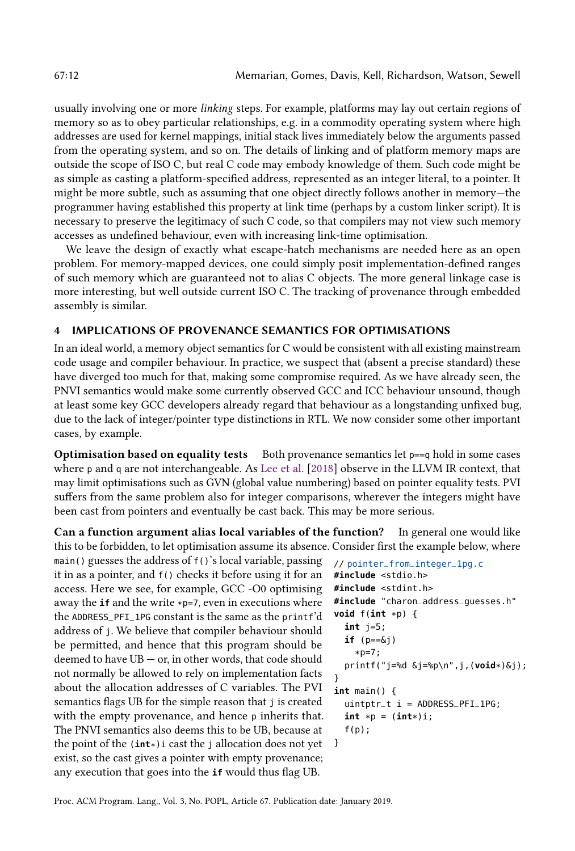usually involving one or more linking steps. For example, platforms may lay out certain regions of memory so as to obey particular relationships, e.g. in a commodity operating system where high addresses are used for kernel mappings, initial stack lives immediately below the arguments passed from the operating system, and so on. The details of linking and of platform memory maps are outside the scope of ISO C, but real C code may embody knowledge of them. Such code might be as simple as casting a platform-specified address, represented as an integer literal, to a pointer. It might be more subtle, such as assuming that one object directly follows another in memory—the programmer having established this property at link time (perhaps by a custom linker script). It is necessary to preserve the legitimacy of such C code, so that compilers may not view such memory accesses as undefined behaviour, even with increasing link-time optimisation.

We leave the design of exactly what escape-hatch mechanisms are needed here as an open problem. For memory-mapped devices, one could simply posit implementation-defined ranges of such memory which are guaranteed not to alias C objects. The more general linkage case is more interesting, but well outside current ISO C. The tracking of provenance through embedded assembly is similar.

## <span id="page-11-0"></span>4 IMPLICATIONS OF PROVENANCE SEMANTICS FOR OPTIMISATIONS

In an ideal world, a memory object semantics for C would be consistent with all existing mainstream code usage and compiler behaviour. In practice, we suspect that (absent a precise standard) these have diverged too much for that, making some compromise required. As we have already seen, the PNVI semantics would make some currently observed GCC and ICC behaviour unsound, though at least some key GCC developers already regard that behaviour as a longstanding unfixed bug, due to the lack of integer/pointer type distinctions in RTL. We now consider some other important cases, by example.

Optimisation based on equality tests Both provenance semantics let p==q hold in some cases where <sup>p</sup> and <sup>q</sup> are not interchangeable. As [Lee et al.](#page-30-2) [\[2018\]](#page-30-2) observe in the LLVM IR context, that may limit optimisations such as GVN (global value numbering) based on pointer equality tests. PVI suffers from the same problem also for integer comparisons, wherever the integers might have been cast from pointers and eventually be cast back. This may be more serious.

Can a function argument alias local variables of the function? In general one would like this to be forbidden, to let optimisation assume its absence. Consider first the example below, where

main() guesses the address of f()'s local variable, passing it in as a pointer, and f() checks it before using it for an access. Here we see, for example, GCC -O0 optimising away the **if** and the write \*p=7, even in executions where the ADDRESS\_PFI\_1PG constant is the same as the printf'd address of <sup>j</sup>. We believe that compiler behaviour should be permitted, and hence that this program should be deemed to have UB — or, in other words, that code should not normally be allowed to rely on implementation facts about the allocation addresses of C variables. The PVI semantics flags UB for the simple reason that <sup>j</sup> is created with the empty provenance, and hence  $p$  inherits that. The PNVI semantics also deems this to be UB, because at the point of the (**int**\*)i cast the <sup>j</sup> allocation does not yet exist, so the cast gives a pointer with empty provenance; any execution that goes into the **if** would thus flag UB.

```
// pointer_from_integer_1pg.c
#include <stdio.h>
#include <stdint.h>
#include "charon_address_guesses.h"
void f(int *p) {
  int j=5;
  if (p==&j)
     *p=7;printf("j=%d &j=%p\n",j,(void*)&j);
}
int main() {
  uintptr_t i = ADDRESS_PFI_1PG;int *p = (int*)i;f(p);
}
```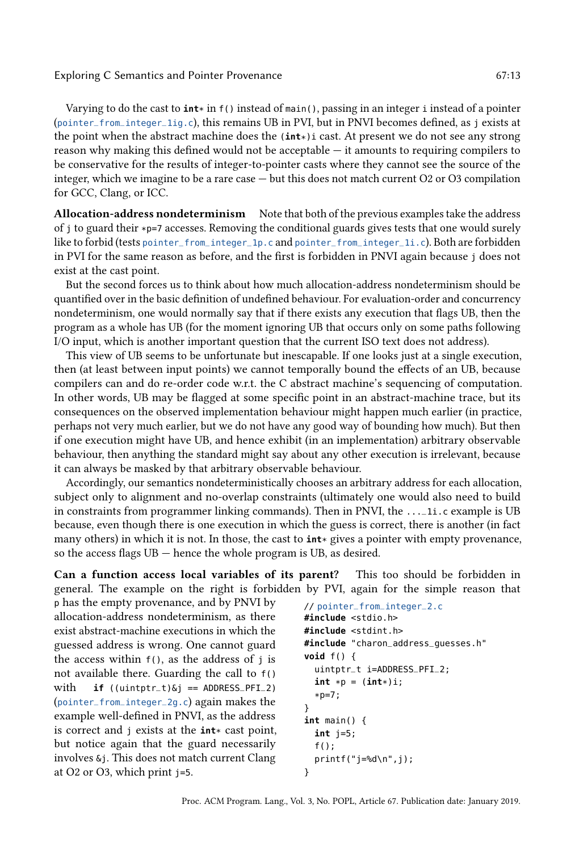Varying to do the cast to **int**\* in f() instead of main(), passing in an integer <sup>i</sup> instead of a pointer ([pointer\\_from\\_integer\\_1ig.c](https://cerberus.cl.cam.ac.uk/cerberus?defacto/pointer_from_integer_1ig.c)), this remains UB in PVI, but in PNVI becomes defined, as <sup>j</sup> exists at the point when the abstract machine does the (**int**\*)i cast. At present we do not see any strong reason why making this defined would not be acceptable — it amounts to requiring compilers to be conservative for the results of integer-to-pointer casts where they cannot see the source of the integer, which we imagine to be a rare case — but this does not match current O2 or O3 compilation for GCC, Clang, or ICC.

Allocation-address nondeterminism Note that both of the previous examples take the address of <sup>j</sup> to guard their \*p=7 accesses. Removing the conditional guards gives tests that one would surely like to forbid (tests [pointer\\_from\\_integer\\_1p.c](https://cerberus.cl.cam.ac.uk/cerberus?defacto/pointer_from_integer_1p.c) and [pointer\\_from\\_integer\\_1i.c](https://cerberus.cl.cam.ac.uk/cerberus?defacto/pointer_from_integer_1i.c)). Both are forbidden in PVI for the same reason as before, and the first is forbidden in PNVI again because <sup>j</sup> does not exist at the cast point.

But the second forces us to think about how much allocation-address nondeterminism should be quantified over in the basic definition of undefined behaviour. For evaluation-order and concurrency nondeterminism, one would normally say that if there exists any execution that flags UB, then the program as a whole has UB (for the moment ignoring UB that occurs only on some paths following I/O input, which is another important question that the current ISO text does not address).

This view of UB seems to be unfortunate but inescapable. If one looks just at a single execution, then (at least between input points) we cannot temporally bound the effects of an UB, because compilers can and do re-order code w.r.t. the C abstract machine's sequencing of computation. In other words, UB may be flagged at some specific point in an abstract-machine trace, but its consequences on the observed implementation behaviour might happen much earlier (in practice, perhaps not very much earlier, but we do not have any good way of bounding how much). But then if one execution might have UB, and hence exhibit (in an implementation) arbitrary observable behaviour, then anything the standard might say about any other execution is irrelevant, because it can always be masked by that arbitrary observable behaviour.

Accordingly, our semantics nondeterministically chooses an arbitrary address for each allocation, subject only to alignment and no-overlap constraints (ultimately one would also need to build in constraints from programmer linking commands). Then in PNVI, the ...\_1i.c example is UB because, even though there is one execution in which the guess is correct, there is another (in fact many others) in which it is not. In those, the cast to **int**\* gives a pointer with empty provenance, so the access flags UB — hence the whole program is UB, as desired.

Can a function access local variables of its parent? This too should be forbidden in general. The example on the right is forbidden by PVI, again for the simple reason that

<sup>p</sup> has the empty provenance, and by PNVI by allocation-address nondeterminism, as there exist abstract-machine executions in which the guessed address is wrong. One cannot guard the access within f(), as the address of <sup>j</sup> is not available there. Guarding the call to f() with  $if ((uintptr_t)\&j == \text{ADDRESS\_PFI}_2)$ ([pointer\\_from\\_integer\\_2g.c](https://cerberus.cl.cam.ac.uk/cerberus?defacto/pointer_from_integer_2g.c)) again makes the example well-defined in PNVI, as the address is correct and <sup>j</sup> exists at the **int**\* cast point, but notice again that the guard necessarily involves &j. This does not match current Clang at O2 or O3, which print j=5.

```
// pointer_from_integer_2.c
#include <stdio.h>
#include <stdint.h>
#include "charon_address_guesses.h"
void f() {
  uintptr_t i=ADDRESS_PFI_2;
  int *p = (int*)i;
  *p=7;}
int main() {
  int j=5;
  f();
  printf("j=%d\n",j);
}
```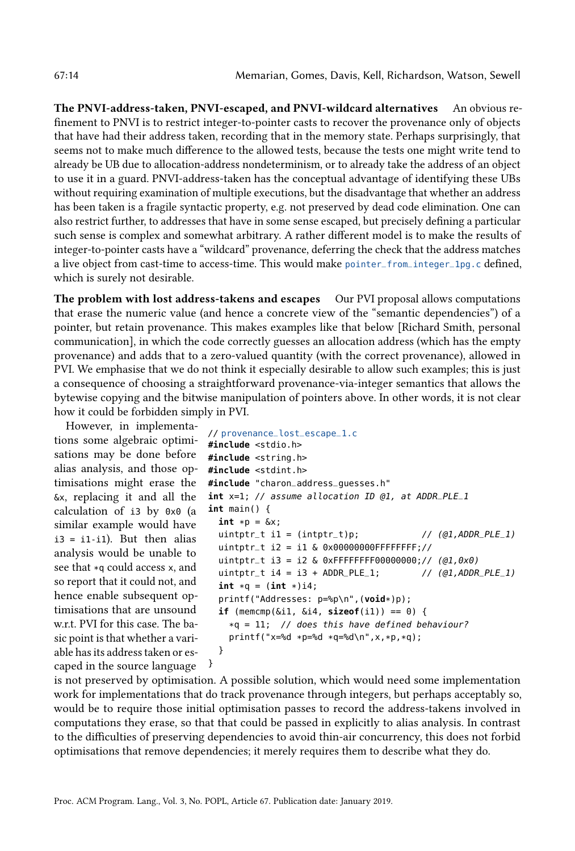The PNVI-address-taken, PNVI-escaped, and PNVI-wildcard alternatives An obvious refinement to PNVI is to restrict integer-to-pointer casts to recover the provenance only of objects that have had their address taken, recording that in the memory state. Perhaps surprisingly, that seems not to make much difference to the allowed tests, because the tests one might write tend to already be UB due to allocation-address nondeterminism, or to already take the address of an object to use it in a guard. PNVI-address-taken has the conceptual advantage of identifying these UBs without requiring examination of multiple executions, but the disadvantage that whether an address has been taken is a fragile syntactic property, e.g. not preserved by dead code elimination. One can also restrict further, to addresses that have in some sense escaped, but precisely defining a particular such sense is complex and somewhat arbitrary. A rather different model is to make the results of integer-to-pointer casts have a "wildcard" provenance, deferring the check that the address matches a live object from cast-time to access-time. This would make [pointer\\_from\\_integer\\_1pg.c](https://cerberus.cl.cam.ac.uk/cerberus?defacto/pointer_from_integer_1pg.c) defined, which is surely not desirable.

The problem with lost address-takens and escapes Our PVI proposal allows computations that erase the numeric value (and hence a concrete view of the "semantic dependencies") of a pointer, but retain provenance. This makes examples like that below [Richard Smith, personal communication], in which the code correctly guesses an allocation address (which has the empty provenance) and adds that to a zero-valued quantity (with the correct provenance), allowed in PVI. We emphasise that we do not think it especially desirable to allow such examples; this is just a consequence of choosing a straightforward provenance-via-integer semantics that allows the bytewise copying and the bitwise manipulation of pointers above. In other words, it is not clear how it could be forbidden simply in PVI.

However, in implementations some algebraic optimisations may be done before alias analysis, and those optimisations might erase the &x, replacing it and all the calculation of i3 by 0x0 (a similar example would have  $i3 = i1-i1$ ). But then alias analysis would be unable to see that \*q could access <sup>x</sup>, and so report that it could not, and hence enable subsequent optimisations that are unsound w.r.t. PVI for this case. The basic point is that whether a variable has its address taken or escaped in the source language

```
// provenance_lost_escape_1.c
#include <stdio.h>
#include <string.h>
#include <stdint.h>
#include "charon_address_guesses.h"
int x=1; // assume allocation ID @1, at ADDR_PLE_1
int main() {
  int *p = \&x;uintptr_t i1 = (intptr_t)p; // (@1,ADDR_PLE_1)uintptr_t i2 = i1 & 0x00000000FFFFFFF;///uintptr_t i3 = i2 & 0xFFFFFFFF00000000;// (01,0x0)uintptr_t i4 = i3 + ADDR_PLE_1; // (@1,ADDR_PLE_1)
  int *q = (int *)i4;
  printf("Addresses: p=%p\n",(void*)p);
  if (memcmp(\&i1, \&i4, sizeof(i1)) == 0) {
    *q = 11; // does this have defined behaviour?
    printf("x=%d *p=%d *q=%d\n", x, *p, *q);
  }
}
```
is not preserved by optimisation. A possible solution, which would need some implementation work for implementations that do track provenance through integers, but perhaps acceptably so, would be to require those initial optimisation passes to record the address-takens involved in computations they erase, so that that could be passed in explicitly to alias analysis. In contrast to the difficulties of preserving dependencies to avoid thin-air concurrency, this does not forbid optimisations that remove dependencies; it merely requires them to describe what they do.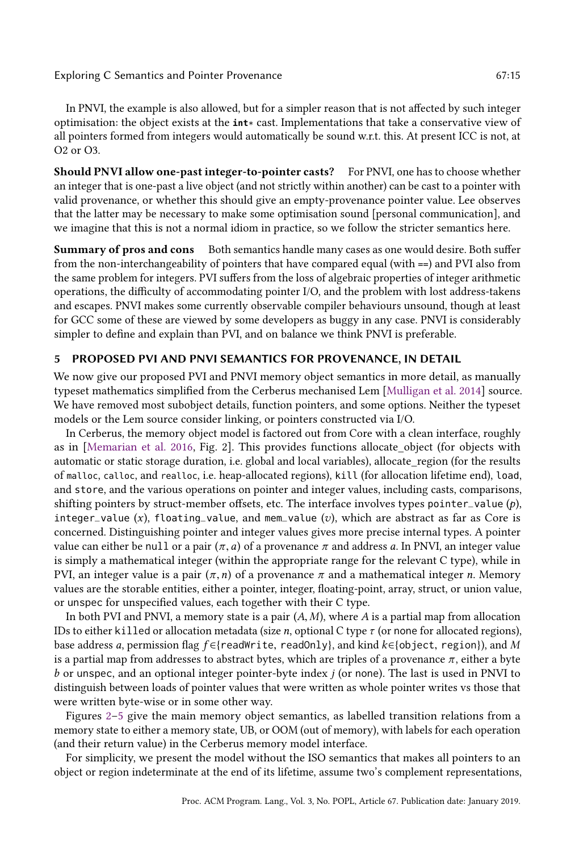In PNVI, the example is also allowed, but for a simpler reason that is not affected by such integer optimisation: the object exists at the **int**\* cast. Implementations that take a conservative view of all pointers formed from integers would automatically be sound w.r.t. this. At present ICC is not, at O2 or O3.

Should PNVI allow one-past integer-to-pointer casts? For PNVI, one has to choose whether an integer that is one-past a live object (and not strictly within another) can be cast to a pointer with valid provenance, or whether this should give an empty-provenance pointer value. Lee observes that the latter may be necessary to make some optimisation sound [personal communication], and we imagine that this is not a normal idiom in practice, so we follow the stricter semantics here.

Summary of pros and cons Both semantics handle many cases as one would desire. Both suffer from the non-interchangeability of pointers that have compared equal (with ==) and PVI also from the same problem for integers. PVI suffers from the loss of algebraic properties of integer arithmetic operations, the difficulty of accommodating pointer I/O, and the problem with lost address-takens and escapes. PNVI makes some currently observable compiler behaviours unsound, though at least for GCC some of these are viewed by some developers as buggy in any case. PNVI is considerably simpler to define and explain than PVI, and on balance we think PNVI is preferable.

## 5 PROPOSED PVI AND PNVI SEMANTICS FOR PROVENANCE, IN DETAIL

We now give our proposed PVI and PNVI memory object semantics in more detail, as manually typeset mathematics simplified from the Cerberus mechanised Lem [\[Mulligan et al.](#page-30-9) [2014\]](#page-30-9) source. We have removed most subobject details, function pointers, and some options. Neither the typeset models or the Lem source consider linking, or pointers constructed via I/O.

In Cerberus, the memory object model is factored out from Core with a clean interface, roughly as in [\[Memarian et al.](#page-30-0) [2016,](#page-30-0) Fig. 2]. This provides functions allocate\_object (for objects with automatic or static storage duration, i.e. global and local variables), allocate\_region (for the results of malloc, calloc, and realloc, i.e. heap-allocated regions), kill (for allocation lifetime end), load, and store, and the various operations on pointer and integer values, including casts, comparisons, shifting pointers by struct-member offsets, etc. The interface involves types pointer\_value  $(p)$ , integer\_value  $(x)$ , floating\_value, and mem\_value  $(v)$ , which are abstract as far as Core is concerned. Distinguishing pointer and integer values gives more precise internal types. A pointer value can either be null or a pair  $(\pi, a)$  of a provenance  $\pi$  and address a. In PNVI, an integer value is simply a mathematical integer (within the appropriate range for the relevant C type), while in PVI, an integer value is a pair  $(\pi, n)$  of a provenance  $\pi$  and a mathematical integer n. Memory values are the storable entities, either a pointer, integer, floating-point, array, struct, or union value, or unspec for unspecified values, each together with their C type.

In both PVI and PNVI, a memory state is a pair  $(A, M)$ , where A is a partial map from allocation IDs to either killed or allocation metadata (size *n*, optional C type  $\tau$  (or none for allocated regions), base address a, permission flag f ∈{readWrite, readOnly}, and kind  $k \in \{ \text{object}, \text{region} \}$ , and M is a partial map from addresses to abstract bytes, which are triples of a provenance  $\pi$ , either a byte  $b$  or unspec, and an optional integer pointer-byte index  $j$  (or none). The last is used in PNVI to distinguish between loads of pointer values that were written as whole pointer writes vs those that were written byte-wise or in some other way.

Figures [2–](#page-16-0)[5](#page-17-0) give the main memory object semantics, as labelled transition relations from a memory state to either a memory state, UB, or OOM (out of memory), with labels for each operation (and their return value) in the Cerberus memory model interface.

For simplicity, we present the model without the ISO semantics that makes all pointers to an object or region indeterminate at the end of its lifetime, assume two's complement representations,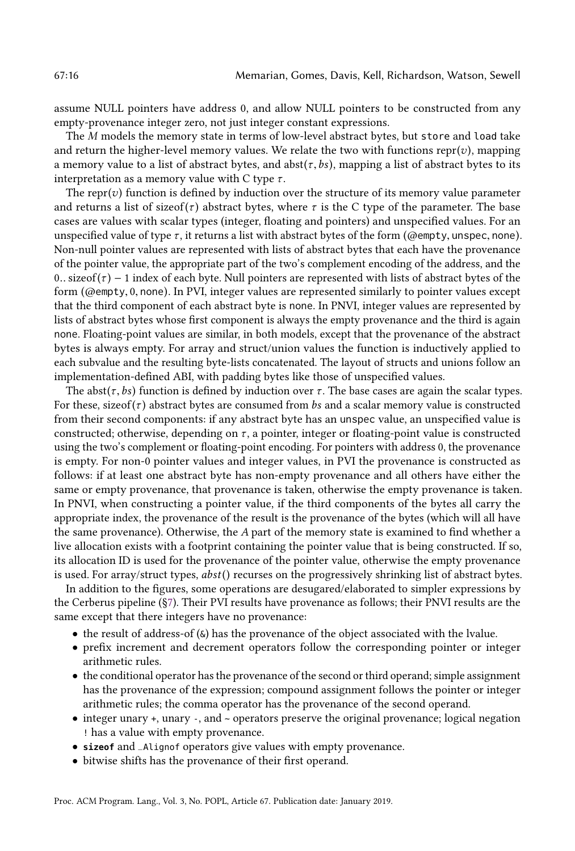assume NULL pointers have address 0, and allow NULL pointers to be constructed from any empty-provenance integer zero, not just integer constant expressions.

The M models the memory state in terms of low-level abstract bytes, but store and load take and return the higher-level memory values. We relate the two with functions  $repr(v)$ , mapping a memory value to a list of abstract bytes, and  $abst(\tau,bs)$ , mapping a list of abstract bytes to its interpretation as a memory value with C type  $\tau$ .

The repr $(v)$  function is defined by induction over the structure of its memory value parameter and returns a list of sizeof( $\tau$ ) abstract bytes, where  $\tau$  is the C type of the parameter. The base cases are values with scalar types (integer, floating and pointers) and unspecified values. For an unspecified value of type  $\tau$ , it returns a list with abstract bytes of the form (@empty, unspec, none). Non-null pointer values are represented with lists of abstract bytes that each have the provenance of the pointer value, the appropriate part of the two's complement encoding of the address, and the 0.. sizeof( $\tau$ ) – 1 index of each byte. Null pointers are represented with lists of abstract bytes of the form (@empty, <sup>0</sup>, none). In PVI, integer values are represented similarly to pointer values except that the third component of each abstract byte is none. In PNVI, integer values are represented by lists of abstract bytes whose first component is always the empty provenance and the third is again none. Floating-point values are similar, in both models, except that the provenance of the abstract bytes is always empty. For array and struct/union values the function is inductively applied to each subvalue and the resulting byte-lists concatenated. The layout of structs and unions follow an implementation-defined ABI, with padding bytes like those of unspecified values.

The abst( $\tau$ , bs) function is defined by induction over  $\tau$ . The base cases are again the scalar types. For these, sizeof( $\tau$ ) abstract bytes are consumed from bs and a scalar memory value is constructed from their second components: if any abstract byte has an unspec value, an unspecified value is constructed; otherwise, depending on  $\tau$ , a pointer, integer or floating-point value is constructed using the two's complement or floating-point encoding. For pointers with address 0, the provenance is empty. For non-0 pointer values and integer values, in PVI the provenance is constructed as follows: if at least one abstract byte has non-empty provenance and all others have either the same or empty provenance, that provenance is taken, otherwise the empty provenance is taken. In PNVI, when constructing a pointer value, if the third components of the bytes all carry the appropriate index, the provenance of the result is the provenance of the bytes (which will all have the same provenance). Otherwise, the A part of the memory state is examined to find whether a live allocation exists with a footprint containing the pointer value that is being constructed. If so, its allocation ID is used for the provenance of the pointer value, otherwise the empty provenance is used. For array/struct types,  $abst()$  recurses on the progressively shrinking list of abstract bytes.

In addition to the figures, some operations are desugared/elaborated to simpler expressions by the Cerberus pipeline ([§7\)](#page-19-0). Their PVI results have provenance as follows; their PNVI results are the same except that there integers have no provenance:

- the result of address-of  $(\delta)$  has the provenance of the object associated with the lvalue.
- prefix increment and decrement operators follow the corresponding pointer or integer arithmetic rules.
- the conditional operator has the provenance of the second or third operand; simple assignment has the provenance of the expression; compound assignment follows the pointer or integer arithmetic rules; the comma operator has the provenance of the second operand.
- integer unary +, unary -, and ~ operators preserve the original provenance; logical negation ! has a value with empty provenance.
- **sizeof** and \_Alignof operators give values with empty provenance.
- bitwise shifts has the provenance of their first operand.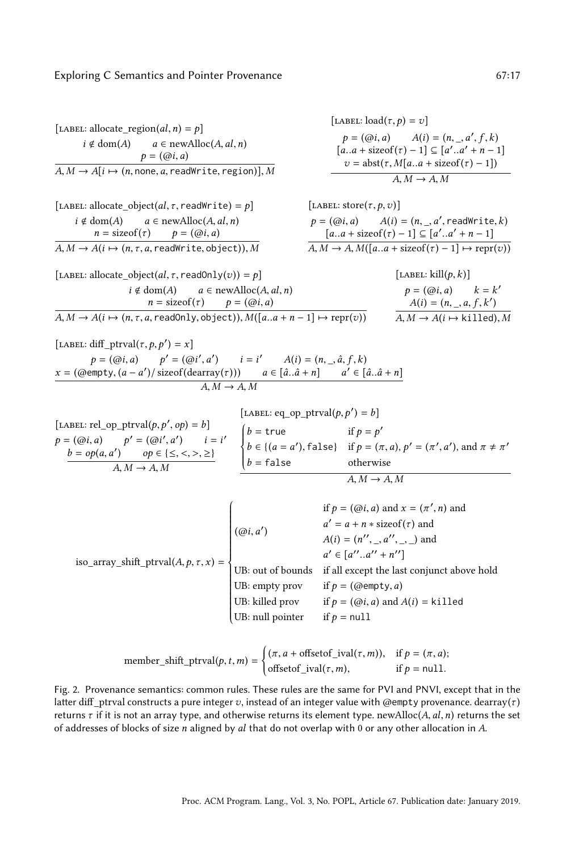<span id="page-16-0"></span>

| [LABEL: allocate_region( <i>al</i> , <i>n</i> ) = $p$ ]                                                                                                                                                                                                                                                                                                                                                                   | [LABEL: $10a\alpha(\tau,p) = v$ ]                                                                                                  |                                                                                                                                                                                                                                                                                                                                                                                    |  |  |  |  |
|---------------------------------------------------------------------------------------------------------------------------------------------------------------------------------------------------------------------------------------------------------------------------------------------------------------------------------------------------------------------------------------------------------------------------|------------------------------------------------------------------------------------------------------------------------------------|------------------------------------------------------------------------------------------------------------------------------------------------------------------------------------------------------------------------------------------------------------------------------------------------------------------------------------------------------------------------------------|--|--|--|--|
| $i \notin \text{dom}(A)$ $a \in \text{new}$ Alloc $(A, al, n)$                                                                                                                                                                                                                                                                                                                                                            | $p = (\omega i, a)$ $A(i) = (n, \_, a', f, k)$                                                                                     |                                                                                                                                                                                                                                                                                                                                                                                    |  |  |  |  |
| $p = (\omega_i, a)$                                                                                                                                                                                                                                                                                                                                                                                                       | $[aa + \text{sizeof}(\tau) - 1] \subseteq [a'a' + n - 1]$                                                                          |                                                                                                                                                                                                                                                                                                                                                                                    |  |  |  |  |
| $A, M \rightarrow A[i \mapsto (n, none, a, readWrite, region)], M$                                                                                                                                                                                                                                                                                                                                                        |                                                                                                                                    | $v = \text{abst}(\tau, M[aa + \text{sizeof}(\tau) - 1])$                                                                                                                                                                                                                                                                                                                           |  |  |  |  |
|                                                                                                                                                                                                                                                                                                                                                                                                                           | $A, M \rightarrow A, M$                                                                                                            |                                                                                                                                                                                                                                                                                                                                                                                    |  |  |  |  |
|                                                                                                                                                                                                                                                                                                                                                                                                                           |                                                                                                                                    |                                                                                                                                                                                                                                                                                                                                                                                    |  |  |  |  |
| [LABEL: allocate_object( $al$ , $\tau$ , readWrite) = $p$ ]                                                                                                                                                                                                                                                                                                                                                               |                                                                                                                                    | [LABEL: store $(\tau, p, v)$ ]                                                                                                                                                                                                                                                                                                                                                     |  |  |  |  |
| $i \notin \text{dom}(A)$ $a \in \text{new}$ Alloc $(A, al, n)$<br>$n = \text{sizeof}(\tau) \qquad p = (\text{\textcircled{a}} i,a)$                                                                                                                                                                                                                                                                                       | $p = (\textcircled{a}i, a)$ $A(i) = (n, \_, a', \text{readWrite}, k)$<br>$[aa + \text{sizeof}(\tau) - 1] \subseteq [a'a' + n - 1]$ |                                                                                                                                                                                                                                                                                                                                                                                    |  |  |  |  |
| $A, M \rightarrow A(i \mapsto (n, \tau, a, readWrite, object)), M$                                                                                                                                                                                                                                                                                                                                                        | $\overline{A, M \rightarrow A, M([aa + \text{sizeof}(\tau) - 1] \mapsto \text{repr}(v))}$                                          |                                                                                                                                                                                                                                                                                                                                                                                    |  |  |  |  |
| [LABEL: allocate_object( $al$ , $\tau$ , readOnly $(v)$ ) = $p$ ]                                                                                                                                                                                                                                                                                                                                                         |                                                                                                                                    | [LABEL: $kill(p, k)$ ]                                                                                                                                                                                                                                                                                                                                                             |  |  |  |  |
| $i \notin \text{dom}(A)$ $a \in \text{new}$ Alloc $(A, al, n)$                                                                                                                                                                                                                                                                                                                                                            |                                                                                                                                    | $p = (\omega i, a)$ $k = k'$                                                                                                                                                                                                                                                                                                                                                       |  |  |  |  |
|                                                                                                                                                                                                                                                                                                                                                                                                                           |                                                                                                                                    |                                                                                                                                                                                                                                                                                                                                                                                    |  |  |  |  |
|                                                                                                                                                                                                                                                                                                                                                                                                                           |                                                                                                                                    | $\frac{n \in \text{norm}(A)}{A, M \rightarrow A(i \mapsto (n, \tau, a, \text{readOnly}, \text{object})), M([aa + n - 1] \mapsto \text{repr}(v))}$ $\frac{p - \text{reg.}(a)}{A, M \rightarrow A(i \mapsto (n, \tau, a, \text{readOnly}, \text{object})), M([aa + n - 1] \mapsto \text{repr}(v))}$ $\frac{A(i) = (n, ., a, f, k')}{A, M \rightarrow A(i \mapsto \text{killed}), M}$ |  |  |  |  |
| [LABEL: diff_ptrval( $\tau$ , $p$ , $p'$ ) = x]                                                                                                                                                                                                                                                                                                                                                                           |                                                                                                                                    |                                                                                                                                                                                                                                                                                                                                                                                    |  |  |  |  |
|                                                                                                                                                                                                                                                                                                                                                                                                                           |                                                                                                                                    |                                                                                                                                                                                                                                                                                                                                                                                    |  |  |  |  |
| $p = (\textcircled{a}i, a)$ $p' = (\textcircled{a}i', a')$ $i = i'$ $A(i) = (n, , \hat{a}, f, k)$<br>$x = (\textcircled{a}empty, (a - a') / \text{ sizeof}(\textcircled{a}array(\tau)))$ $a \in [\hat{a}\hat{a} + n]$ $a' \in [\hat{a}\hat{a} + n]$                                                                                                                                                                       |                                                                                                                                    |                                                                                                                                                                                                                                                                                                                                                                                    |  |  |  |  |
| $A, M \rightarrow A, M$                                                                                                                                                                                                                                                                                                                                                                                                   |                                                                                                                                    |                                                                                                                                                                                                                                                                                                                                                                                    |  |  |  |  |
|                                                                                                                                                                                                                                                                                                                                                                                                                           |                                                                                                                                    |                                                                                                                                                                                                                                                                                                                                                                                    |  |  |  |  |
|                                                                                                                                                                                                                                                                                                                                                                                                                           |                                                                                                                                    | [LABEL: eq_op_ptrval $(p, p') = b$ ]                                                                                                                                                                                                                                                                                                                                               |  |  |  |  |
|                                                                                                                                                                                                                                                                                                                                                                                                                           |                                                                                                                                    |                                                                                                                                                                                                                                                                                                                                                                                    |  |  |  |  |
|                                                                                                                                                                                                                                                                                                                                                                                                                           |                                                                                                                                    |                                                                                                                                                                                                                                                                                                                                                                                    |  |  |  |  |
|                                                                                                                                                                                                                                                                                                                                                                                                                           |                                                                                                                                    | [LABEL: rel_op_ptrval(p, p', op) = b]<br>$p = (\omega i, a)$ $p' = (\omega i', a')$ $i = i'$ $\begin{cases} b = \text{true} & \text{if } p = p' \\ b \in \{(a = a'), \text{false}\} & \text{if } p = (a, a), p' = (\pi', a'), \text{ and } \pi \neq \pi' \\ b = op(a, a') & \text{if } \rho \in \{\le, <, >, \ge\} \end{cases}$                                                    |  |  |  |  |
|                                                                                                                                                                                                                                                                                                                                                                                                                           |                                                                                                                                    | $A, M \rightarrow A, M$                                                                                                                                                                                                                                                                                                                                                            |  |  |  |  |
|                                                                                                                                                                                                                                                                                                                                                                                                                           |                                                                                                                                    |                                                                                                                                                                                                                                                                                                                                                                                    |  |  |  |  |
|                                                                                                                                                                                                                                                                                                                                                                                                                           |                                                                                                                                    | if $p = (\omega i, a)$ and $x = (\pi', n)$ and                                                                                                                                                                                                                                                                                                                                     |  |  |  |  |
| $\text{isom} \text{arg}\text{shift\_ptrval}(A, p, \tau, x) = \begin{cases} \text{if } p = (\textcircled{a}, a) \text{ and } x = (\pi', n) \text{ and } \\ (\textcircled{a}, a') & \text{if } a' = a + n * \text{ sizeof}(\tau) \text{ and } \\ & A(i) = (n'', \_, a'', \_, \_) \text{ and } \\ & a' \in [a'', \_, a'' + n''] \\ \text{UB: out of bounds} & \text{if all except the last conjunct above hold} \end{cases}$ |                                                                                                                                    |                                                                                                                                                                                                                                                                                                                                                                                    |  |  |  |  |
|                                                                                                                                                                                                                                                                                                                                                                                                                           |                                                                                                                                    |                                                                                                                                                                                                                                                                                                                                                                                    |  |  |  |  |
|                                                                                                                                                                                                                                                                                                                                                                                                                           |                                                                                                                                    |                                                                                                                                                                                                                                                                                                                                                                                    |  |  |  |  |
|                                                                                                                                                                                                                                                                                                                                                                                                                           |                                                                                                                                    |                                                                                                                                                                                                                                                                                                                                                                                    |  |  |  |  |
|                                                                                                                                                                                                                                                                                                                                                                                                                           | UB: empty prov                                                                                                                     | if $p = ($ $@$ empty, $a)$                                                                                                                                                                                                                                                                                                                                                         |  |  |  |  |
|                                                                                                                                                                                                                                                                                                                                                                                                                           |                                                                                                                                    | UB: killed prov if $p = (\omega i, a)$ and $A(i) =$ killed                                                                                                                                                                                                                                                                                                                         |  |  |  |  |
|                                                                                                                                                                                                                                                                                                                                                                                                                           | UB: null pointer if $p = null$                                                                                                     |                                                                                                                                                                                                                                                                                                                                                                                    |  |  |  |  |
|                                                                                                                                                                                                                                                                                                                                                                                                                           |                                                                                                                                    |                                                                                                                                                                                                                                                                                                                                                                                    |  |  |  |  |
|                                                                                                                                                                                                                                                                                                                                                                                                                           |                                                                                                                                    |                                                                                                                                                                                                                                                                                                                                                                                    |  |  |  |  |
|                                                                                                                                                                                                                                                                                                                                                                                                                           |                                                                                                                                    | $((\pi, a + \text{offsetof } \text{ival}(\tau, m))$ , if $p = (\pi, a)$ .                                                                                                                                                                                                                                                                                                          |  |  |  |  |

member\_shift\_ptrval(p, t, m) =   
\n
$$
\begin{cases}\n(\pi, a + \text{offsetof}_i\text{val}(\tau, m)), & \text{if } p = (\pi, a); \\
\text{offsetof}_i\text{val}(\tau, m), & \text{if } p = \text{null}.\n\end{cases}
$$

Fig. 2. Provenance semantics: common rules. These rules are the same for PVI and PNVI, except that in the latter diff\_ptrval constructs a pure integer v, instead of an integer value with @empty provenance. dearray( $\tau$ ) returns  $\tau$  if it is not an array type, and otherwise returns its element type. newAlloc(A, al, n) returns the set of addresses of blocks of size n aligned by al that do not overlap with 0 or any other allocation in A.

[LABEL: load $(\tau, p) = v$ ]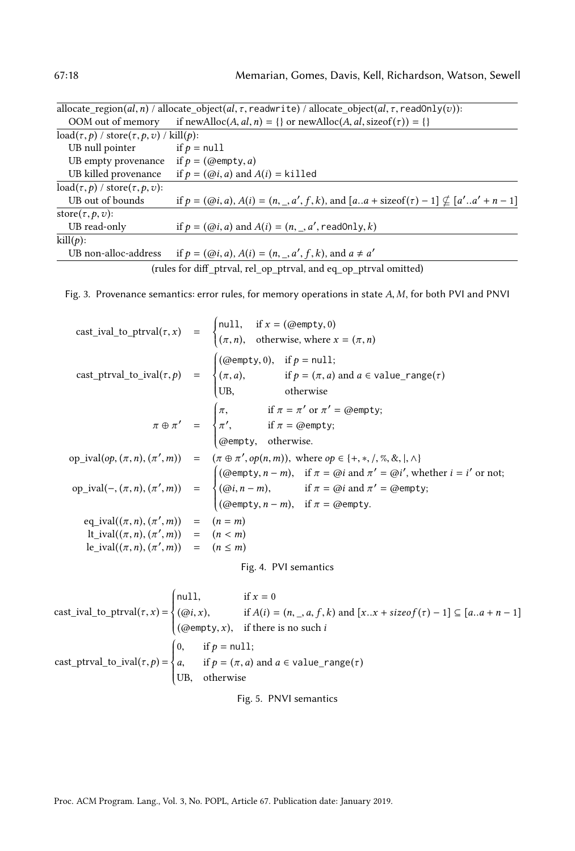|                                                       | allocate_region(al, n) / allocate_object(al, $\tau$ , readwrite) / allocate_object(al, $\tau$ , readOnly(v)): |  |  |  |  |  |
|-------------------------------------------------------|---------------------------------------------------------------------------------------------------------------|--|--|--|--|--|
| OOM out of memory                                     | if $newAlice(A, al, n) = \{\}$ or $newAlice(A, al, sizeof(\tau)) = \{\}$                                      |  |  |  |  |  |
| $load(\tau, p)$ / store $(\tau, p, v)$ / kill $(p)$ : |                                                                                                               |  |  |  |  |  |
| UB null pointer                                       | if $p = null$                                                                                                 |  |  |  |  |  |
| UB empty provenance                                   | if $p = ($ $\textcircled{a}$ empty, a)                                                                        |  |  |  |  |  |
| UB killed provenance                                  | if $p = (\omega i, a)$ and $A(i) =$ killed                                                                    |  |  |  |  |  |
| $load(\tau, p)$ / store $(\tau, p, v)$ :              |                                                                                                               |  |  |  |  |  |
| UB out of bounds                                      | if $p = (\omega i, a), A(i) = (n, a', f, k),$ and $[aa + \text{sizeof}(\tau) - 1] \nsubseteq [a'a' + n - 1]$  |  |  |  |  |  |
| store $(\tau, p, v)$ :                                |                                                                                                               |  |  |  |  |  |
| UB read-only                                          | if $p = (\omega i, a)$ and $A(i) = (n, \dots, a',$ readonly, k)                                               |  |  |  |  |  |
| kill(p):                                              |                                                                                                               |  |  |  |  |  |
| UB non-alloc-address                                  | if $p = (\omega i, a), A(i) = (n, a', f, k)$ , and $a \neq a'$                                                |  |  |  |  |  |
|                                                       | (rules for diff ptryal, rel op ptryal, and eq op ptryal omitted)                                              |  |  |  |  |  |

Fig. 3. Provenance semantics: error rules, for memory operations in state <sup>A</sup>, <sup>M</sup>, for both PVI and PNVI

cast\_ival\_to\_ptrval(
$$
\tau, x
$$
) =  $\begin{cases} \text{null}, & \text{if } x = (\text{Qempty}, 0) \\ (\pi, n), & \text{otherwise, where } x = (\pi, n) \end{cases}$   
\ncast\_ptrval\_to\_ival( $\tau, p$ ) =  $\begin{cases} (\text{Qempty}, 0), & \text{if } p = \text{null}; \\ (\pi, a), & \text{if } p = (\pi, a) \text{ and } a \in \text{value\_range}(\tau) \end{cases}$   
\n $\pi \oplus \pi' = \begin{cases} \pi, & \text{if } \pi = \pi' \text{ or } \pi' = \text{Qempty}; \\ \pi', & \text{if } \pi = \text{Qempty}; \\ \text{Qempty}, & \text{otherwise}. \end{cases}$   
\n $\text{op}_i\text{val}(op, (\pi, n), (\pi', m)) = (\pi \oplus \pi', op(n, m)), \text{ where } op \in \{+, *, /, \%, \&, |, \land\}$   
\n $\text{op}_i\text{val}(-, (\pi, n), (\pi', m)) = \begin{cases} (\text{Qempty}, n - m), & \text{if } \pi = \text{Q}i \text{ and } \pi' = \text{Q}i', \text{ whether } i = i' \text{ or not}; \\ (\text{Qempty}, n - m), & \text{if } \pi = \text{Q}i \text{ and } \pi' = \text{Qempty}; \\ (\text{Qempty}, n - m), & \text{if } \pi = \text{Qempty}. \end{cases}$   
\n $\text{eq}_i\text{val}((\pi, n), (\pi', m)) = (n = m)$   
\n $\text{lt}_i\text{val}((\pi, n), (\pi', m)) = (n < m)$   
\n $\text{le}_i\text{val}((\pi, n), (\pi', m)) = (n < m)$ 

Fig. 4. PVI semantics

<span id="page-17-0"></span>cast\_ival\_to\_ptrval(
$$
\tau, x
$$
) =   
\n
$$
\begin{cases}\n\text{null}, & \text{if } x = 0 \\
(\text{@i}, x), & \text{if } A(i) = (n, \_, a, f, k) \text{ and } [x..x + \text{sizeof}(\tau) - 1] \subseteq [a..a + n - 1] \\
(\text{@empty}, x), & \text{if there is no such } i\n\end{cases}
$$
\ncast\_ptrval\_to\_ival( $\tau, p$ ) =   
\n
$$
\begin{cases}\n0, & \text{if } p = \text{null}; \\
a, & \text{if } p = (\pi, a) \text{ and } a \in \text{value\_range}(\tau) \\
\text{UB}, & \text{otherwise}\n\end{cases}
$$

Fig. 5. PNVI semantics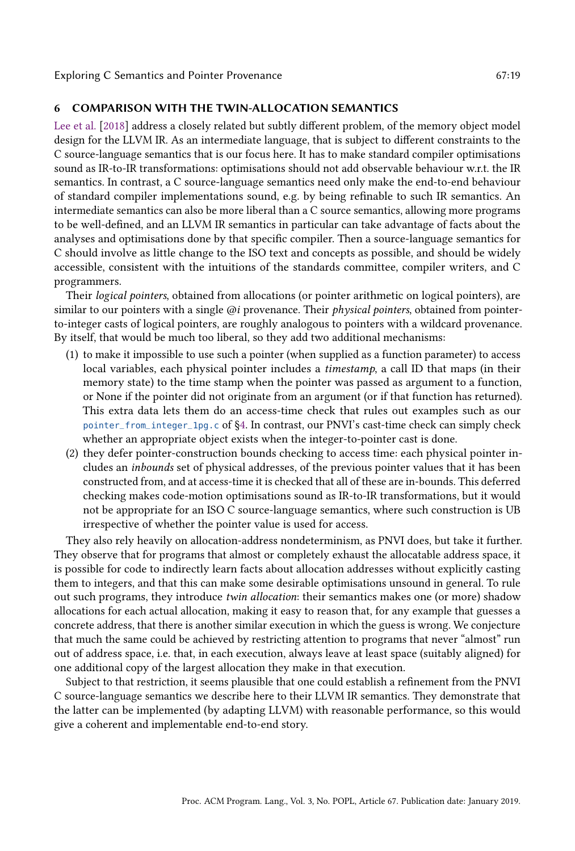## <span id="page-18-0"></span>6 COMPARISON WITH THE TWIN-ALLOCATION SEMANTICS

[Lee et al.](#page-30-2) [\[2018\]](#page-30-2) address a closely related but subtly different problem, of the memory object model design for the LLVM IR. As an intermediate language, that is subject to different constraints to the C source-language semantics that is our focus here. It has to make standard compiler optimisations sound as IR-to-IR transformations: optimisations should not add observable behaviour w.r.t. the IR semantics. In contrast, a C source-language semantics need only make the end-to-end behaviour of standard compiler implementations sound, e.g. by being refinable to such IR semantics. An intermediate semantics can also be more liberal than a C source semantics, allowing more programs to be well-defined, and an LLVM IR semantics in particular can take advantage of facts about the analyses and optimisations done by that specific compiler. Then a source-language semantics for C should involve as little change to the ISO text and concepts as possible, and should be widely accessible, consistent with the intuitions of the standards committee, compiler writers, and C programmers.

Their logical pointers, obtained from allocations (or pointer arithmetic on logical pointers), are similar to our pointers with a single  $\omega$  provenance. Their *physical pointers*, obtained from pointerto-integer casts of logical pointers, are roughly analogous to pointers with a wildcard provenance. By itself, that would be much too liberal, so they add two additional mechanisms:

- (1) to make it impossible to use such a pointer (when supplied as a function parameter) to access local variables, each physical pointer includes a timestamp, a call ID that maps (in their memory state) to the time stamp when the pointer was passed as argument to a function, or None if the pointer did not originate from an argument (or if that function has returned). This extra data lets them do an access-time check that rules out examples such as our [pointer\\_from\\_integer\\_1pg.c](https://cerberus.cl.cam.ac.uk/cerberus?defacto/pointer_from_integer_1pg.c) of [§4.](#page-11-0) In contrast, our PNVI's cast-time check can simply check whether an appropriate object exists when the integer-to-pointer cast is done.
- (2) they defer pointer-construction bounds checking to access time: each physical pointer includes an inbounds set of physical addresses, of the previous pointer values that it has been constructed from, and at access-time it is checked that all of these are in-bounds. This deferred checking makes code-motion optimisations sound as IR-to-IR transformations, but it would not be appropriate for an ISO C source-language semantics, where such construction is UB irrespective of whether the pointer value is used for access.

They also rely heavily on allocation-address nondeterminism, as PNVI does, but take it further. They observe that for programs that almost or completely exhaust the allocatable address space, it is possible for code to indirectly learn facts about allocation addresses without explicitly casting them to integers, and that this can make some desirable optimisations unsound in general. To rule out such programs, they introduce twin allocation: their semantics makes one (or more) shadow allocations for each actual allocation, making it easy to reason that, for any example that guesses a concrete address, that there is another similar execution in which the guess is wrong. We conjecture that much the same could be achieved by restricting attention to programs that never "almost" run out of address space, i.e. that, in each execution, always leave at least space (suitably aligned) for one additional copy of the largest allocation they make in that execution.

Subject to that restriction, it seems plausible that one could establish a refinement from the PNVI C source-language semantics we describe here to their LLVM IR semantics. They demonstrate that the latter can be implemented (by adapting LLVM) with reasonable performance, so this would give a coherent and implementable end-to-end story.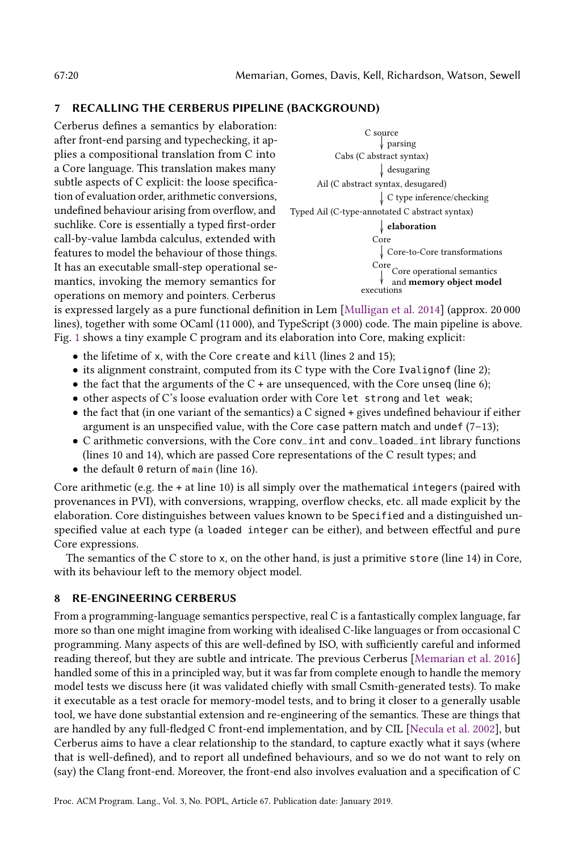## <span id="page-19-0"></span>7 RECALLING THE CERBERUS PIPELINE (BACKGROUND)

Cerberus defines a semantics by elaboration: after front-end parsing and typechecking, it applies a compositional translation from C into a Core language. This translation makes many subtle aspects of C explicit: the loose specification of evaluation order, arithmetic conversions, undefined behaviour arising from overflow, and suchlike. Core is essentially a typed first-order call-by-value lambda calculus, extended with features to model the behaviour of those things. It has an executable small-step operational semantics, invoking the memory semantics for operations on memory and pointers. Cerberus



is expressed largely as a pure functional definition in Lem [\[Mulligan et al.](#page-30-9) [2014\]](#page-30-9) (approx. 20 000 lines), together with some OCaml (11 000), and TypeScript (3 000) code. The main pipeline is above. Fig. [1](#page-2-0) shows a tiny example C program and its elaboration into Core, making explicit:

- the lifetime of <sup>x</sup>, with the Core create and kill (lines 2 and 15);
- its alignment constraint, computed from its C type with the Core Ivalignof (line 2);
- the fact that the arguments of the  $C +$  are unsequenced, with the Core unseq (line 6);
- other aspects of C's loose evaluation order with Core let strong and let weak;
- the fact that (in one variant of the semantics) a C signed <sup>+</sup> gives undefined behaviour if either argument is an unspecified value, with the Core case pattern match and undef (7–13);
- C arithmetic conversions, with the Core conv\_int and conv\_loaded\_int library functions (lines 10 and 14), which are passed Core representations of the C result types; and
- the default 0 return of main (line 16).

Core arithmetic (e.g. the  $+$  at line 10) is all simply over the mathematical integers (paired with provenances in PVI), with conversions, wrapping, overflow checks, etc. all made explicit by the elaboration. Core distinguishes between values known to be Specified and a distinguished unspecified value at each type (a loaded integer can be either), and between effectful and pure Core expressions.

The semantics of the C store to <sup>x</sup>, on the other hand, is just a primitive store (line 14) in Core, with its behaviour left to the memory object model.

## 8 RE-ENGINEERING CERBERUS

From a programming-language semantics perspective, real C is a fantastically complex language, far more so than one might imagine from working with idealised C-like languages or from occasional C programming. Many aspects of this are well-defined by ISO, with sufficiently careful and informed reading thereof, but they are subtle and intricate. The previous Cerberus [\[Memarian et al.](#page-30-0) [2016\]](#page-30-0) handled some of this in a principled way, but it was far from complete enough to handle the memory model tests we discuss here (it was validated chiefly with small Csmith-generated tests). To make it executable as a test oracle for memory-model tests, and to bring it closer to a generally usable tool, we have done substantial extension and re-engineering of the semantics. These are things that are handled by any full-fledged C front-end implementation, and by CIL [\[Necula et al.](#page-31-9) [2002\]](#page-31-9), but Cerberus aims to have a clear relationship to the standard, to capture exactly what it says (where that is well-defined), and to report all undefined behaviours, and so we do not want to rely on (say) the Clang front-end. Moreover, the front-end also involves evaluation and a specification of C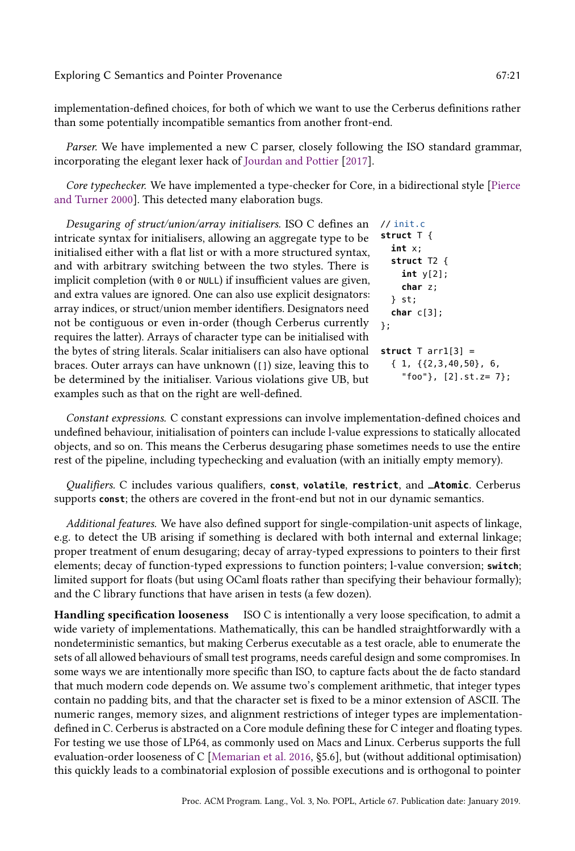implementation-defined choices, for both of which we want to use the Cerberus definitions rather than some potentially incompatible semantics from another front-end.

Parser. We have implemented a new C parser, closely following the ISO standard grammar, incorporating the elegant lexer hack of [Jourdan and Pottier](#page-29-7) [\[2017\]](#page-29-7).

Core typechecker. We have implemented a type-checker for Core, in a bidirectional style [\[Pierce](#page-31-10) [and Turner](#page-31-10) [2000\]](#page-31-10). This detected many elaboration bugs.

Desugaring of struct/union/array initialisers. ISO C defines an intricate syntax for initialisers, allowing an aggregate type to be initialised either with a flat list or with a more structured syntax, and with arbitrary switching between the two styles. There is implicit completion (with <sup>0</sup> or NULL) if insufficient values are given, and extra values are ignored. One can also use explicit designators: array indices, or struct/union member identifiers. Designators need not be contiguous or even in-order (though Cerberus currently requires the latter). Arrays of character type can be initialised with the bytes of string literals. Scalar initialisers can also have optional braces. Outer arrays can have unknown ([]) size, leaving this to be determined by the initialiser. Various violations give UB, but examples such as that on the right are well-defined.

```
struct T {
  int x;
  struct T2 {
    int y[2];
    char z;
  } st;
  char c[3];
};
struct T arr1[3] =
  { 1, {{2,3,40,50}, 6,
    "foo"}, [2].st.z= 7};
```
// [init.c](https://cerberus.cl.cam.ac.uk/cerberus?defacto/init.c)

Constant expressions. C constant expressions can involve implementation-defined choices and undefined behaviour, initialisation of pointers can include l-value expressions to statically allocated objects, and so on. This means the Cerberus desugaring phase sometimes needs to use the entire rest of the pipeline, including typechecking and evaluation (with an initially empty memory).

Qualifiers. C includes various qualifiers, **const**, **volatile**, **restrict**, and **\_Atomic**. Cerberus supports **const**; the others are covered in the front-end but not in our dynamic semantics.

Additional features. We have also defined support for single-compilation-unit aspects of linkage, e.g. to detect the UB arising if something is declared with both internal and external linkage; proper treatment of enum desugaring; decay of array-typed expressions to pointers to their first elements; decay of function-typed expressions to function pointers; l-value conversion; **switch**; limited support for floats (but using OCaml floats rather than specifying their behaviour formally); and the C library functions that have arisen in tests (a few dozen).

Handling specification looseness ISO C is intentionally a very loose specification, to admit a wide variety of implementations. Mathematically, this can be handled straightforwardly with a nondeterministic semantics, but making Cerberus executable as a test oracle, able to enumerate the sets of all allowed behaviours of small test programs, needs careful design and some compromises. In some ways we are intentionally more specific than ISO, to capture facts about the de facto standard that much modern code depends on. We assume two's complement arithmetic, that integer types contain no padding bits, and that the character set is fixed to be a minor extension of ASCII. The numeric ranges, memory sizes, and alignment restrictions of integer types are implementationdefined in C. Cerberus is abstracted on a Core module defining these for C integer and floating types. For testing we use those of LP64, as commonly used on Macs and Linux. Cerberus supports the full evaluation-order looseness of C [\[Memarian et al.](#page-30-0) [2016,](#page-30-0) §5.6], but (without additional optimisation) this quickly leads to a combinatorial explosion of possible executions and is orthogonal to pointer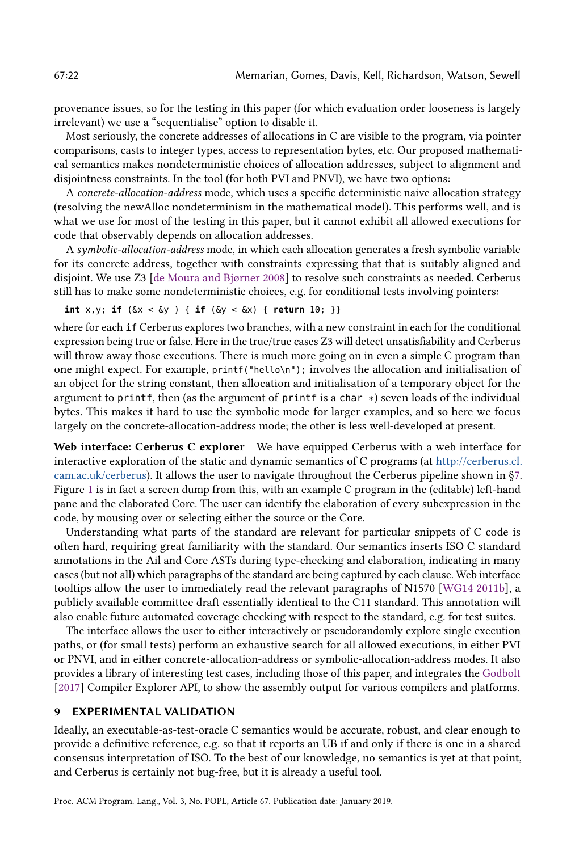provenance issues, so for the testing in this paper (for which evaluation order looseness is largely irrelevant) we use a "sequentialise" option to disable it.

Most seriously, the concrete addresses of allocations in C are visible to the program, via pointer comparisons, casts to integer types, access to representation bytes, etc. Our proposed mathematical semantics makes nondeterministic choices of allocation addresses, subject to alignment and disjointness constraints. In the tool (for both PVI and PNVI), we have two options:

A concrete-allocation-address mode, which uses a specific deterministic naive allocation strategy (resolving the newAlloc nondeterminism in the mathematical model). This performs well, and is what we use for most of the testing in this paper, but it cannot exhibit all allowed executions for code that observably depends on allocation addresses.

A symbolic-allocation-address mode, in which each allocation generates a fresh symbolic variable for its concrete address, together with constraints expressing that that is suitably aligned and disjoint. We use Z3 [\[de Moura and Bjørner](#page-29-8) [2008\]](#page-29-8) to resolve such constraints as needed. Cerberus still has to make some nondeterministic choices, e.g. for conditional tests involving pointers:

**int** x,y; **if** (&x < &y ) { **if** (&y < &x) { **return** 10; }}

where for each if Cerberus explores two branches, with a new constraint in each for the conditional expression being true or false. Here in the true/true cases Z3 will detect unsatisfiability and Cerberus will throw away those executions. There is much more going on in even a simple C program than one might expect. For example, printf("hello\n"); involves the allocation and initialisation of an object for the string constant, then allocation and initialisation of a temporary object for the argument to printf, then (as the argument of printf is a char \*) seven loads of the individual bytes. This makes it hard to use the symbolic mode for larger examples, and so here we focus largely on the concrete-allocation-address mode; the other is less well-developed at present.

Web interface: Cerberus C explorer We have equipped Cerberus with a web interface for interactive exploration of the static and dynamic semantics of C programs (at [http://cerberus.cl.](http://cerberus.cl.cam.ac.uk/cerberus) [cam.ac.uk/cerberus\)](http://cerberus.cl.cam.ac.uk/cerberus). It allows the user to navigate throughout the Cerberus pipeline shown in [§7.](#page-19-0) Figure [1](#page-2-0) is in fact a screen dump from this, with an example C program in the (editable) left-hand pane and the elaborated Core. The user can identify the elaboration of every subexpression in the code, by mousing over or selecting either the source or the Core.

Understanding what parts of the standard are relevant for particular snippets of C code is often hard, requiring great familiarity with the standard. Our semantics inserts ISO C standard annotations in the Ail and Core ASTs during type-checking and elaboration, indicating in many cases (but not all) which paragraphs of the standard are being captured by each clause. Web interface tooltips allow the user to immediately read the relevant paragraphs of N1570 [\[WG14](#page-31-11) [2011b\]](#page-31-11), a publicly available committee draft essentially identical to the C11 standard. This annotation will also enable future automated coverage checking with respect to the standard, e.g. for test suites.

The interface allows the user to either interactively or pseudorandomly explore single execution paths, or (for small tests) perform an exhaustive search for all allowed executions, in either PVI or PNVI, and in either concrete-allocation-address or symbolic-allocation-address modes. It also provides a library of interesting test cases, including those of this paper, and integrates the [Godbolt](#page-29-9) [\[2017\]](#page-29-9) Compiler Explorer API, to show the assembly output for various compilers and platforms.

## <span id="page-21-0"></span>9 EXPERIMENTAL VALIDATION

Ideally, an executable-as-test-oracle C semantics would be accurate, robust, and clear enough to provide a definitive reference, e.g. so that it reports an UB if and only if there is one in a shared consensus interpretation of ISO. To the best of our knowledge, no semantics is yet at that point, and Cerberus is certainly not bug-free, but it is already a useful tool.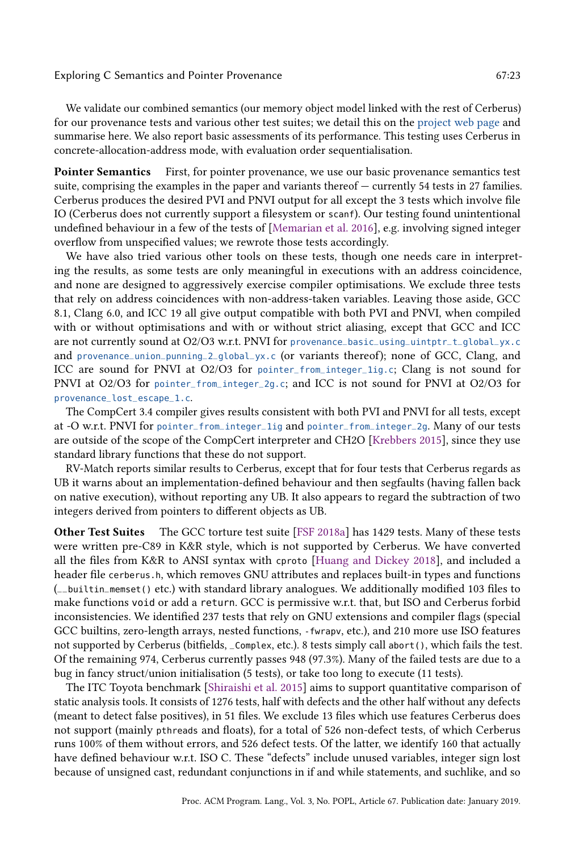We validate our combined semantics (our memory object model linked with the rest of Cerberus) for our provenance tests and various other test suites; we detail this on the [project web page](https://www.cl.cam.ac.uk/users/pes20/cerberus) and summarise here. We also report basic assessments of its performance. This testing uses Cerberus in concrete-allocation-address mode, with evaluation order sequentialisation.

Pointer Semantics First, for pointer provenance, we use our basic provenance semantics test suite, comprising the examples in the paper and variants thereof — currently 54 tests in 27 families. Cerberus produces the desired PVI and PNVI output for all except the 3 tests which involve file IO (Cerberus does not currently support a filesystem or scanf). Our testing found unintentional undefined behaviour in a few of the tests of [\[Memarian et al.](#page-30-0) [2016\]](#page-30-0), e.g. involving signed integer overflow from unspecified values; we rewrote those tests accordingly.

We have also tried various other tools on these tests, though one needs care in interpreting the results, as some tests are only meaningful in executions with an address coincidence, and none are designed to aggressively exercise compiler optimisations. We exclude three tests that rely on address coincidences with non-address-taken variables. Leaving those aside, GCC 8.1, Clang 6.0, and ICC 19 all give output compatible with both PVI and PNVI, when compiled with or without optimisations and with or without strict aliasing, except that GCC and ICC are not currently sound at O2/O3 w.r.t. PNVI for [provenance\\_basic\\_using\\_uintptr\\_t\\_global\\_yx.c](https://cerberus.cl.cam.ac.uk/cerberus?defacto/provenance_basic_using_uintptr_t_global_yx.c) and [provenance\\_union\\_punning\\_2\\_global\\_yx.c](https://cerberus.cl.cam.ac.uk/cerberus?defacto/provenance_union_punning_2_global_yx.c) (or variants thereof); none of GCC, Clang, and ICC are sound for PNVI at O2/O3 for [pointer\\_from\\_integer\\_1ig.c](https://cerberus.cl.cam.ac.uk/cerberus?defacto/pointer_from_integer_1ig.c); Clang is not sound for PNVI at O2/O3 for [pointer\\_from\\_integer\\_2g.c](https://cerberus.cl.cam.ac.uk/cerberus?defacto/pointer_from_integer_2g.c); and ICC is not sound for PNVI at O2/O3 for [provenance\\_lost\\_escape\\_1.c](https://cerberus.cl.cam.ac.uk/cerberus?defacto/provenance_lost_escape_1.c).

The CompCert 3.4 compiler gives results consistent with both PVI and PNVI for all tests, except at -O w.r.t. PNVI for [pointer\\_from\\_integer\\_1ig](https://cerberus.cl.cam.ac.uk/cerberus?defacto/pointer_from_integer_1ig) and [pointer\\_from\\_integer\\_2g](https://cerberus.cl.cam.ac.uk/cerberus?defacto/pointer_from_integer_2g). Many of our tests are outside of the scope of the CompCert interpreter and CH2O [\[Krebbers](#page-30-5) [2015\]](#page-30-5), since they use standard library functions that these do not support.

RV-Match reports similar results to Cerberus, except that for four tests that Cerberus regards as UB it warns about an implementation-defined behaviour and then segfaults (having fallen back on native execution), without reporting any UB. It also appears to regard the subtraction of two integers derived from pointers to different objects as UB.

Other Test Suites The GCC torture test suite [\[FSF](#page-29-3) [2018a\]](#page-29-3) has 1429 tests. Many of these tests were written pre-C89 in K&R style, which is not supported by Cerberus. We have converted all the files from K&R to ANSI syntax with cproto [\[Huang and Dickey](#page-29-10) [2018\]](#page-29-10), and included a header file cerberus.h, which removes GNU attributes and replaces built-in types and functions (\_\_builtin\_memset() etc.) with standard library analogues. We additionally modified 103 files to make functions void or add a return. GCC is permissive w.r.t. that, but ISO and Cerberus forbid inconsistencies. We identified 237 tests that rely on GNU extensions and compiler flags (special GCC builtins, zero-length arrays, nested functions, -fwrapv, etc.), and 210 more use ISO features not supported by Cerberus (bitfields, \_Complex, etc.). 8 tests simply call abort(), which fails the test. Of the remaining 974, Cerberus currently passes 948 (97.3%). Many of the failed tests are due to a bug in fancy struct/union initialisation (5 tests), or take too long to execute (11 tests).

The ITC Toyota benchmark [\[Shiraishi et al.](#page-31-6) [2015\]](#page-31-6) aims to support quantitative comparison of static analysis tools. It consists of 1276 tests, half with defects and the other half without any defects (meant to detect false positives), in 51 files. We exclude 13 files which use features Cerberus does not support (mainly pthreads and floats), for a total of 526 non-defect tests, of which Cerberus runs 100% of them without errors, and 526 defect tests. Of the latter, we identify 160 that actually have defined behaviour w.r.t. ISO C. These "defects" include unused variables, integer sign lost because of unsigned cast, redundant conjunctions in if and while statements, and suchlike, and so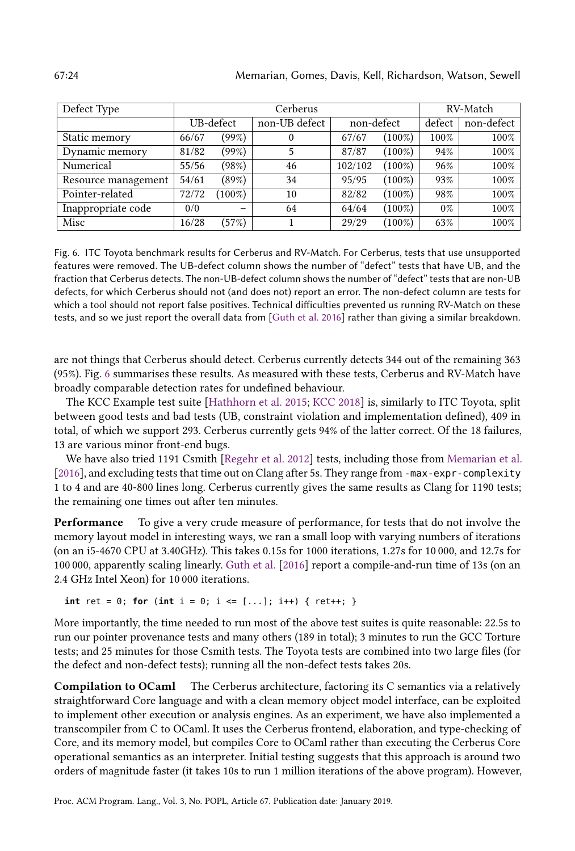<span id="page-23-0"></span>

| Defect Type         | Cerberus  |           |               |            |           |        | RV-Match   |  |
|---------------------|-----------|-----------|---------------|------------|-----------|--------|------------|--|
|                     | UB-defect |           | non-UB defect | non-defect |           | defect | non-defect |  |
| Static memory       | 66/67     | (99%)     | 0             | 67/67      | $(100\%)$ | 100%   | 100%       |  |
| Dynamic memory      | 81/82     | (99%)     | 5             | 87/87      | $(100\%)$ | 94%    | $100\%$    |  |
| Numerical           | 55/56     | (98%)     | 46            | 102/102    | $(100\%)$ | 96%    | 100%       |  |
| Resource management | 54/61     | (89%)     | 34            | 95/95      | $(100\%)$ | 93%    | 100%       |  |
| Pointer-related     | 72/72     | $(100\%)$ | 10            | 82/82      | $(100\%)$ | 98%    | 100%       |  |
| Inappropriate code  | 0/0       |           | 64            | 64/64      | $(100\%)$ | $0\%$  | 100%       |  |
| Misc                | 16/28     | (57%)     |               | 29/29      | $(100\%)$ | 63%    | 100%       |  |

Fig. 6. ITC Toyota benchmark results for Cerberus and RV-Match. For Cerberus, tests that use unsupported features were removed. The UB-defect column shows the number of "defect" tests that have UB, and the fraction that Cerberus detects. The non-UB-defect column shows the number of "defect" tests that are non-UB defects, for which Cerberus should not (and does not) report an error. The non-defect column are tests for which a tool should not report false positives. Technical difficulties prevented us running RV-Match on these tests, and so we just report the overall data from [\[Guth et al.](#page-29-1) [2016\]](#page-29-1) rather than giving a similar breakdown.

are not things that Cerberus should detect. Cerberus currently detects 344 out of the remaining 363 (95%). Fig. [6](#page-23-0) summarises these results. As measured with these tests, Cerberus and RV-Match have broadly comparable detection rates for undefined behaviour.

The KCC Example test suite [\[Hathhorn et al.](#page-29-4) [2015;](#page-29-4) [KCC](#page-30-6) [2018\]](#page-30-6) is, similarly to ITC Toyota, split between good tests and bad tests (UB, constraint violation and implementation defined), 409 in total, of which we support 293. Cerberus currently gets 94% of the latter correct. Of the 18 failures, 13 are various minor front-end bugs.

We have also tried 1191 Csmith [\[Regehr et al.](#page-31-7) [2012\]](#page-31-7) tests, including those from [Memarian et al.](#page-30-0) [\[2016\]](#page-30-0), and excluding tests that time out on Clang after 5s. They range from -max-expr-complexity 1 to 4 and are 40-800 lines long. Cerberus currently gives the same results as Clang for 1190 tests; the remaining one times out after ten minutes.

Performance To give a very crude measure of performance, for tests that do not involve the memory layout model in interesting ways, we ran a small loop with varying numbers of iterations (on an i5-4670 CPU at 3.40GHz). This takes 0.15s for 1000 iterations, 1.27s for 10 000, and 12.7s for 100 000, apparently scaling linearly. [Guth et al.](#page-29-1) [\[2016\]](#page-29-1) report a compile-and-run time of 13s (on an 2.4 GHz Intel Xeon) for 10 000 iterations.

**int** ret = 0; **for** (**int**  $i = 0$ ;  $i \leq [...]; i++)$  { ret++; }

More importantly, the time needed to run most of the above test suites is quite reasonable: 22.5s to run our pointer provenance tests and many others (189 in total); 3 minutes to run the GCC Torture tests; and 25 minutes for those Csmith tests. The Toyota tests are combined into two large files (for the defect and non-defect tests); running all the non-defect tests takes 20s.

Compilation to OCaml The Cerberus architecture, factoring its C semantics via a relatively straightforward Core language and with a clean memory object model interface, can be exploited to implement other execution or analysis engines. As an experiment, we have also implemented a transcompiler from C to OCaml. It uses the Cerberus frontend, elaboration, and type-checking of Core, and its memory model, but compiles Core to OCaml rather than executing the Cerberus Core operational semantics as an interpreter. Initial testing suggests that this approach is around two orders of magnitude faster (it takes 10s to run 1 million iterations of the above program). However,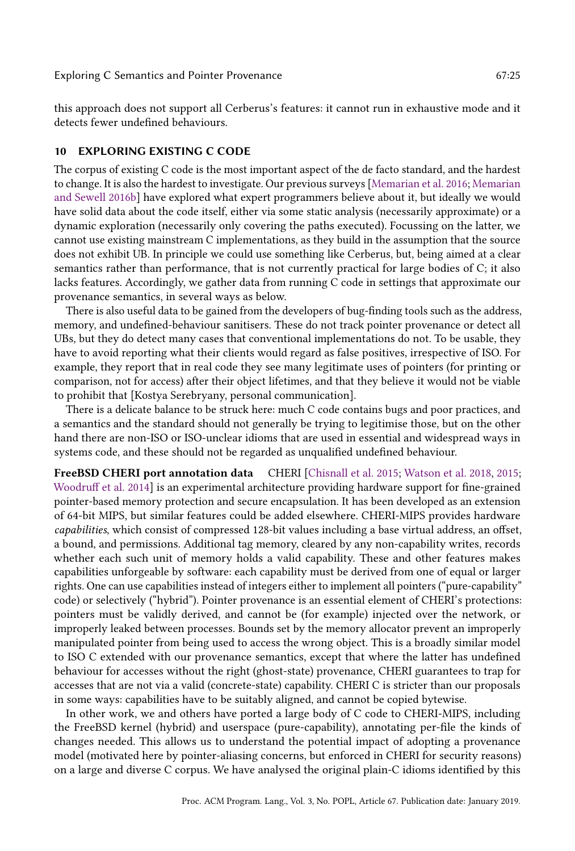this approach does not support all Cerberus's features: it cannot run in exhaustive mode and it detects fewer undefined behaviours.

#### <span id="page-24-0"></span>10 EXPLORING EXISTING C CODE

The corpus of existing C code is the most important aspect of the de facto standard, and the hardest to change. It is also the hardest to investigate. Our previous surveys [\[Memarian et al.](#page-30-0) [2016;](#page-30-0) [Memarian](#page-30-1) [and Sewell](#page-30-1) [2016b\]](#page-30-1) have explored what expert programmers believe about it, but ideally we would have solid data about the code itself, either via some static analysis (necessarily approximate) or a dynamic exploration (necessarily only covering the paths executed). Focussing on the latter, we cannot use existing mainstream C implementations, as they build in the assumption that the source does not exhibit UB. In principle we could use something like Cerberus, but, being aimed at a clear semantics rather than performance, that is not currently practical for large bodies of C; it also lacks features. Accordingly, we gather data from running C code in settings that approximate our provenance semantics, in several ways as below.

There is also useful data to be gained from the developers of bug-finding tools such as the address, memory, and undefined-behaviour sanitisers. These do not track pointer provenance or detect all UBs, but they do detect many cases that conventional implementations do not. To be usable, they have to avoid reporting what their clients would regard as false positives, irrespective of ISO. For example, they report that in real code they see many legitimate uses of pointers (for printing or comparison, not for access) after their object lifetimes, and that they believe it would not be viable to prohibit that [Kostya Serebryany, personal communication].

There is a delicate balance to be struck here: much C code contains bugs and poor practices, and a semantics and the standard should not generally be trying to legitimise those, but on the other hand there are non-ISO or ISO-unclear idioms that are used in essential and widespread ways in systems code, and these should not be regarded as unqualified undefined behaviour.

FreeBSD CHERI port annotation data CHERI [\[Chisnall et al.](#page-29-2) [2015;](#page-29-2) [Watson et al.](#page-31-3) [2018,](#page-31-3) [2015;](#page-31-4) [Woodruff et al.](#page-31-5) [2014\]](#page-31-5) is an experimental architecture providing hardware support for fine-grained pointer-based memory protection and secure encapsulation. It has been developed as an extension of 64-bit MIPS, but similar features could be added elsewhere. CHERI-MIPS provides hardware capabilities, which consist of compressed 128-bit values including a base virtual address, an offset, a bound, and permissions. Additional tag memory, cleared by any non-capability writes, records whether each such unit of memory holds a valid capability. These and other features makes capabilities unforgeable by software: each capability must be derived from one of equal or larger rights. One can use capabilities instead of integers either to implement all pointers ("pure-capability" code) or selectively ("hybrid"). Pointer provenance is an essential element of CHERI's protections: pointers must be validly derived, and cannot be (for example) injected over the network, or improperly leaked between processes. Bounds set by the memory allocator prevent an improperly manipulated pointer from being used to access the wrong object. This is a broadly similar model to ISO C extended with our provenance semantics, except that where the latter has undefined behaviour for accesses without the right (ghost-state) provenance, CHERI guarantees to trap for accesses that are not via a valid (concrete-state) capability. CHERI C is stricter than our proposals in some ways: capabilities have to be suitably aligned, and cannot be copied bytewise.

In other work, we and others have ported a large body of C code to CHERI-MIPS, including the FreeBSD kernel (hybrid) and userspace (pure-capability), annotating per-file the kinds of changes needed. This allows us to understand the potential impact of adopting a provenance model (motivated here by pointer-aliasing concerns, but enforced in CHERI for security reasons) on a large and diverse C corpus. We have analysed the original plain-C idioms identified by this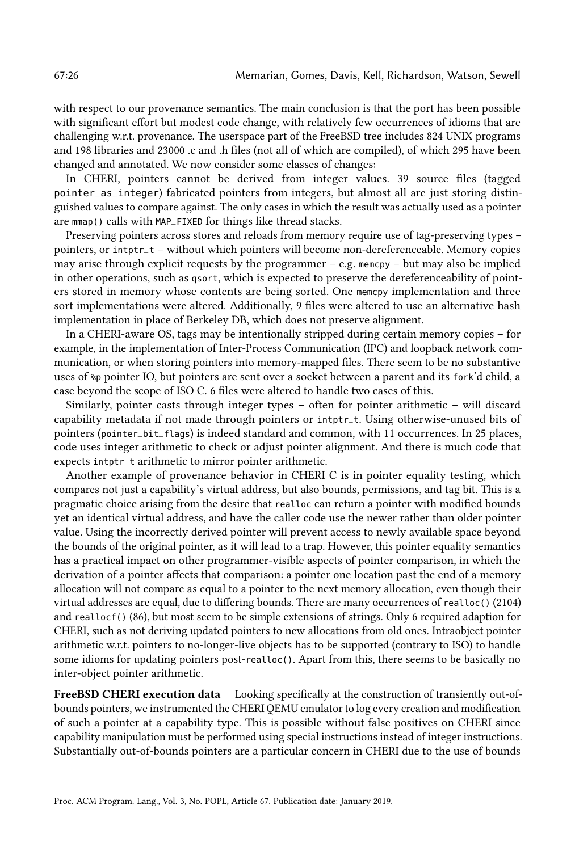with respect to our provenance semantics. The main conclusion is that the port has been possible with significant effort but modest code change, with relatively few occurrences of idioms that are challenging w.r.t. provenance. The userspace part of the FreeBSD tree includes 824 UNIX programs and 198 libraries and 23000 .c and .h files (not all of which are compiled), of which 295 have been changed and annotated. We now consider some classes of changes:

In CHERI, pointers cannot be derived from integer values. 39 source files (tagged pointer\_as\_integer) fabricated pointers from integers, but almost all are just storing distinguished values to compare against. The only cases in which the result was actually used as a pointer are mmap() calls with MAP\_FIXED for things like thread stacks.

Preserving pointers across stores and reloads from memory require use of tag-preserving types – pointers, or intptr\_t – without which pointers will become non-dereferenceable. Memory copies may arise through explicit requests by the programmer – e.g. memcpy – but may also be implied in other operations, such as qsort, which is expected to preserve the dereferenceability of pointers stored in memory whose contents are being sorted. One memcpy implementation and three sort implementations were altered. Additionally, 9 files were altered to use an alternative hash implementation in place of Berkeley DB, which does not preserve alignment.

In a CHERI-aware OS, tags may be intentionally stripped during certain memory copies – for example, in the implementation of Inter-Process Communication (IPC) and loopback network communication, or when storing pointers into memory-mapped files. There seem to be no substantive uses of %p pointer IO, but pointers are sent over a socket between a parent and its fork'd child, a case beyond the scope of ISO C. 6 files were altered to handle two cases of this.

Similarly, pointer casts through integer types – often for pointer arithmetic – will discard capability metadata if not made through pointers or intptr\_t. Using otherwise-unused bits of pointers (pointer\_bit\_flags) is indeed standard and common, with 11 occurrences. In 25 places, code uses integer arithmetic to check or adjust pointer alignment. And there is much code that expects intptr\_t arithmetic to mirror pointer arithmetic.

Another example of provenance behavior in CHERI C is in pointer equality testing, which compares not just a capability's virtual address, but also bounds, permissions, and tag bit. This is a pragmatic choice arising from the desire that realloc can return a pointer with modified bounds yet an identical virtual address, and have the caller code use the newer rather than older pointer value. Using the incorrectly derived pointer will prevent access to newly available space beyond the bounds of the original pointer, as it will lead to a trap. However, this pointer equality semantics has a practical impact on other programmer-visible aspects of pointer comparison, in which the derivation of a pointer affects that comparison: a pointer one location past the end of a memory allocation will not compare as equal to a pointer to the next memory allocation, even though their virtual addresses are equal, due to differing bounds. There are many occurrences of realloc() (2104) and reallocf() (86), but most seem to be simple extensions of strings. Only 6 required adaption for CHERI, such as not deriving updated pointers to new allocations from old ones. Intraobject pointer arithmetic w.r.t. pointers to no-longer-live objects has to be supported (contrary to ISO) to handle some idioms for updating pointers post-realloc(). Apart from this, there seems to be basically no inter-object pointer arithmetic.

FreeBSD CHERI execution data Looking specifically at the construction of transiently out-ofbounds pointers, we instrumented the CHERI QEMU emulator to log every creation and modification of such a pointer at a capability type. This is possible without false positives on CHERI since capability manipulation must be performed using special instructions instead of integer instructions. Substantially out-of-bounds pointers are a particular concern in CHERI due to the use of bounds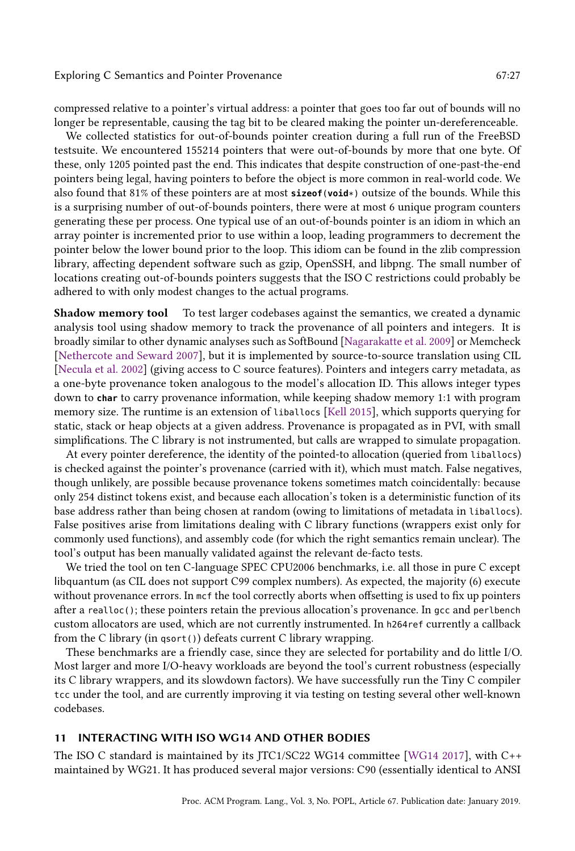compressed relative to a pointer's virtual address: a pointer that goes too far out of bounds will no longer be representable, causing the tag bit to be cleared making the pointer un-dereferenceable.

We collected statistics for out-of-bounds pointer creation during a full run of the FreeBSD testsuite. We encountered 155214 pointers that were out-of-bounds by more that one byte. Of these, only 1205 pointed past the end. This indicates that despite construction of one-past-the-end pointers being legal, having pointers to before the object is more common in real-world code. We also found that 81% of these pointers are at most **sizeof**(**void**\*) outsize of the bounds. While this is a surprising number of out-of-bounds pointers, there were at most 6 unique program counters generating these per process. One typical use of an out-of-bounds pointer is an idiom in which an array pointer is incremented prior to use within a loop, leading programmers to decrement the pointer below the lower bound prior to the loop. This idiom can be found in the zlib compression library, affecting dependent software such as gzip, OpenSSH, and libpng. The small number of locations creating out-of-bounds pointers suggests that the ISO C restrictions could probably be adhered to with only modest changes to the actual programs.

Shadow memory tool To test larger codebases against the semantics, we created a dynamic analysis tool using shadow memory to track the provenance of all pointers and integers. It is broadly similar to other dynamic analyses such as SoftBound [\[Nagarakatte et al.](#page-31-12) [2009\]](#page-31-12) or Memcheck [\[Nethercote and Seward](#page-31-13) [2007\]](#page-31-13), but it is implemented by source-to-source translation using CIL [\[Necula et al.](#page-31-9) [2002\]](#page-31-9) (giving access to C source features). Pointers and integers carry metadata, as a one-byte provenance token analogous to the model's allocation ID. This allows integer types down to **char** to carry provenance information, while keeping shadow memory 1:1 with program memory size. The runtime is an extension of liballocs [\[Kell](#page-30-10) [2015\]](#page-30-10), which supports querying for static, stack or heap objects at a given address. Provenance is propagated as in PVI, with small simplifications. The C library is not instrumented, but calls are wrapped to simulate propagation.

At every pointer dereference, the identity of the pointed-to allocation (queried from liballocs) is checked against the pointer's provenance (carried with it), which must match. False negatives, though unlikely, are possible because provenance tokens sometimes match coincidentally: because only 254 distinct tokens exist, and because each allocation's token is a deterministic function of its base address rather than being chosen at random (owing to limitations of metadata in liballocs). False positives arise from limitations dealing with C library functions (wrappers exist only for commonly used functions), and assembly code (for which the right semantics remain unclear). The tool's output has been manually validated against the relevant de-facto tests.

We tried the tool on ten C-language SPEC CPU2006 benchmarks, i.e. all those in pure C except libquantum (as CIL does not support C99 complex numbers). As expected, the majority (6) execute without provenance errors. In mcf the tool correctly aborts when offsetting is used to fix up pointers after a realloc(); these pointers retain the previous allocation's provenance. In gcc and perlbench custom allocators are used, which are not currently instrumented. In h264ref currently a callback from the C library (in qsort()) defeats current C library wrapping.

These benchmarks are a friendly case, since they are selected for portability and do little I/O. Most larger and more I/O-heavy workloads are beyond the tool's current robustness (especially its C library wrappers, and its slowdown factors). We have successfully run the Tiny C compiler tcc under the tool, and are currently improving it via testing on testing several other well-known codebases.

## <span id="page-26-0"></span>11 INTERACTING WITH ISO WG14 AND OTHER BODIES

The ISO C standard is maintained by its JTC1/SC22 WG14 committee [\[WG14](#page-31-14) [2017\]](#page-31-14), with C++ maintained by WG21. It has produced several major versions: C90 (essentially identical to ANSI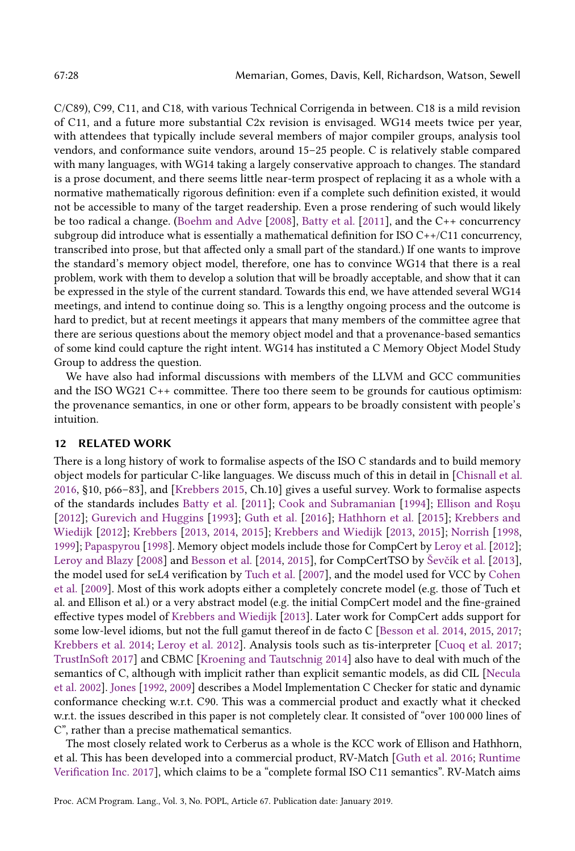C/C89), C99, C11, and C18, with various Technical Corrigenda in between. C18 is a mild revision of C11, and a future more substantial C2x revision is envisaged. WG14 meets twice per year, with attendees that typically include several members of major compiler groups, analysis tool vendors, and conformance suite vendors, around 15–25 people. C is relatively stable compared with many languages, with WG14 taking a largely conservative approach to changes. The standard is a prose document, and there seems little near-term prospect of replacing it as a whole with a normative mathematically rigorous definition: even if a complete such definition existed, it would not be accessible to many of the target readership. Even a prose rendering of such would likely be too radical a change. [\(Boehm and Adve](#page-29-11) [\[2008\]](#page-29-11), [Batty et al.](#page-29-12) [\[2011\]](#page-29-12), and the C++ concurrency subgroup did introduce what is essentially a mathematical definition for ISO C++/C11 concurrency, transcribed into prose, but that affected only a small part of the standard.) If one wants to improve the standard's memory object model, therefore, one has to convince WG14 that there is a real problem, work with them to develop a solution that will be broadly acceptable, and show that it can be expressed in the style of the current standard. Towards this end, we have attended several WG14 meetings, and intend to continue doing so. This is a lengthy ongoing process and the outcome is hard to predict, but at recent meetings it appears that many members of the committee agree that there are serious questions about the memory object model and that a provenance-based semantics of some kind could capture the right intent. WG14 has instituted a C Memory Object Model Study Group to address the question.

We have also had informal discussions with members of the LLVM and GCC communities and the ISO WG21 C++ committee. There too there seem to be grounds for cautious optimism: the provenance semantics, in one or other form, appears to be broadly consistent with people's intuition.

#### 12 RELATED WORK

There is a long history of work to formalise aspects of the ISO C standards and to build memory object models for particular C-like languages. We discuss much of this in detail in [\[Chisnall et al.](#page-29-0) [2016,](#page-29-0) §10, p66–83], and [\[Krebbers](#page-30-5) [2015,](#page-30-5) Ch.10] gives a useful survey. Work to formalise aspects of the standards includes [Batty et al.](#page-29-12) [\[2011\]](#page-29-12); [Cook and Subramanian](#page-29-13) [\[1994\]](#page-29-13); [Ellison and Roşu](#page-29-14) [\[2012\]](#page-29-14); [Gurevich and Huggins](#page-29-15) [\[1993\]](#page-29-15); [Guth et al.](#page-29-1) [\[2016\]](#page-29-1); [Hathhorn et al.](#page-29-4) [\[2015\]](#page-29-4); [Krebbers and](#page-30-11) [Wiedijk](#page-30-11) [\[2012\]](#page-30-11); [Krebbers](#page-30-12) [\[2013,](#page-30-12) [2014,](#page-30-13) [2015\]](#page-30-5); [Krebbers and Wiedijk](#page-30-14) [\[2013,](#page-30-14) [2015\]](#page-30-15); [Norrish](#page-31-15) [\[1998,](#page-31-15) [1999\]](#page-31-16); [Papaspyrou](#page-31-17) [\[1998\]](#page-31-17). Memory object models include those for CompCert by [Leroy et al.](#page-30-16) [\[2012\]](#page-30-16); [Leroy and Blazy](#page-30-17) [\[2008\]](#page-30-17) and [Besson et al.](#page-29-16) [\[2014,](#page-29-16) [2015\]](#page-29-17), for CompCertTSO by [Ševčík et al.](#page-31-18) [\[2013\]](#page-31-18), the model used for seL4 verification by [Tuch et al.](#page-31-19) [\[2007\]](#page-31-19), and the model used for VCC by [Cohen](#page-29-18) [et al.](#page-29-18) [\[2009\]](#page-29-18). Most of this work adopts either a completely concrete model (e.g. those of Tuch et al. and Ellison et al.) or a very abstract model (e.g. the initial CompCert model and the fine-grained effective types model of [Krebbers and Wiedijk](#page-30-14) [\[2013\]](#page-30-14). Later work for CompCert adds support for some low-level idioms, but not the full gamut thereof in de facto C [\[Besson et al.](#page-29-16) [2014,](#page-29-16) [2015,](#page-29-17) [2017;](#page-29-19) [Krebbers et al.](#page-30-18) [2014;](#page-30-18) [Leroy et al.](#page-30-16) [2012\]](#page-30-16). Analysis tools such as tis-interpreter [\[Cuoq et al.](#page-29-20) [2017;](#page-29-20) [TrustInSoft](#page-31-20) [2017\]](#page-31-20) and CBMC [\[Kroening and Tautschnig](#page-30-19) [2014\]](#page-30-19) also have to deal with much of the semantics of C, although with implicit rather than explicit semantic models, as did CIL [\[Necula](#page-31-9) [et al.](#page-31-9) [2002\]](#page-31-9). [Jones](#page-29-21) [\[1992,](#page-29-21) [2009\]](#page-29-22) describes a Model Implementation C Checker for static and dynamic conformance checking w.r.t. C90. This was a commercial product and exactly what it checked w.r.t. the issues described in this paper is not completely clear. It consisted of "over 100 000 lines of C", rather than a precise mathematical semantics.

The most closely related work to Cerberus as a whole is the KCC work of Ellison and Hathhorn, et al. This has been developed into a commercial product, RV-Match [\[Guth et al.](#page-29-1) [2016;](#page-29-1) [Runtime](#page-31-21) [Verification Inc.](#page-31-21) [2017\]](#page-31-21), which claims to be a "complete formal ISO C11 semantics". RV-Match aims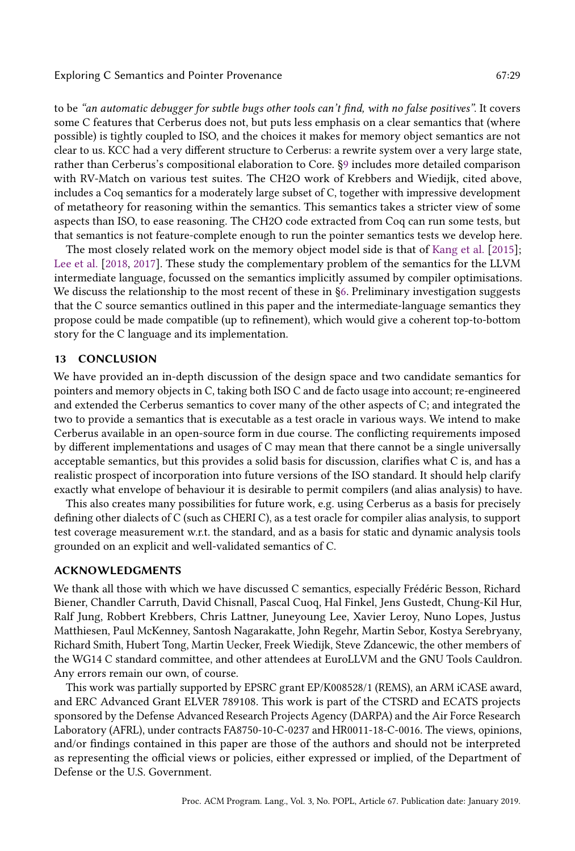to be "an automatic debugger for subtle bugs other tools can't find, with no false positives". It covers some C features that Cerberus does not, but puts less emphasis on a clear semantics that (where possible) is tightly coupled to ISO, and the choices it makes for memory object semantics are not clear to us. KCC had a very different structure to Cerberus: a rewrite system over a very large state, rather than Cerberus's compositional elaboration to Core. [§9](#page-21-0) includes more detailed comparison with RV-Match on various test suites. The CH2O work of Krebbers and Wiedijk, cited above, includes a Coq semantics for a moderately large subset of C, together with impressive development of metatheory for reasoning within the semantics. This semantics takes a stricter view of some aspects than ISO, to ease reasoning. The CH2O code extracted from Coq can run some tests, but that semantics is not feature-complete enough to run the pointer semantics tests we develop here.

The most closely related work on the memory object model side is that of [Kang et al.](#page-30-20) [\[2015\]](#page-30-20); [Lee et al.](#page-30-2) [\[2018,](#page-30-2) [2017\]](#page-30-21). These study the complementary problem of the semantics for the LLVM intermediate language, focussed on the semantics implicitly assumed by compiler optimisations. We discuss the relationship to the most recent of these in [§6.](#page-18-0) Preliminary investigation suggests that the C source semantics outlined in this paper and the intermediate-language semantics they propose could be made compatible (up to refinement), which would give a coherent top-to-bottom story for the C language and its implementation.

#### 13 CONCLUSION

We have provided an in-depth discussion of the design space and two candidate semantics for pointers and memory objects in C, taking both ISO C and de facto usage into account; re-engineered and extended the Cerberus semantics to cover many of the other aspects of C; and integrated the two to provide a semantics that is executable as a test oracle in various ways. We intend to make Cerberus available in an open-source form in due course. The conflicting requirements imposed by different implementations and usages of C may mean that there cannot be a single universally acceptable semantics, but this provides a solid basis for discussion, clarifies what C is, and has a realistic prospect of incorporation into future versions of the ISO standard. It should help clarify exactly what envelope of behaviour it is desirable to permit compilers (and alias analysis) to have.

This also creates many possibilities for future work, e.g. using Cerberus as a basis for precisely defining other dialects of C (such as CHERI C), as a test oracle for compiler alias analysis, to support test coverage measurement w.r.t. the standard, and as a basis for static and dynamic analysis tools grounded on an explicit and well-validated semantics of C.

## ACKNOWLEDGMENTS

We thank all those with which we have discussed C semantics, especially Frédéric Besson, Richard Biener, Chandler Carruth, David Chisnall, Pascal Cuoq, Hal Finkel, Jens Gustedt, Chung-Kil Hur, Ralf Jung, Robbert Krebbers, Chris Lattner, Juneyoung Lee, Xavier Leroy, Nuno Lopes, Justus Matthiesen, Paul McKenney, Santosh Nagarakatte, John Regehr, Martin Sebor, Kostya Serebryany, Richard Smith, Hubert Tong, Martin Uecker, Freek Wiedijk, Steve Zdancewic, the other members of the WG14 C standard committee, and other attendees at EuroLLVM and the GNU Tools Cauldron. Any errors remain our own, of course.

This work was partially supported by EPSRC grant EP/K008528/1 (REMS), an ARM iCASE award, and ERC Advanced Grant ELVER 789108. This work is part of the CTSRD and ECATS projects sponsored by the Defense Advanced Research Projects Agency (DARPA) and the Air Force Research Laboratory (AFRL), under contracts FA8750-10-C-0237 and HR0011-18-C-0016. The views, opinions, and/or findings contained in this paper are those of the authors and should not be interpreted as representing the official views or policies, either expressed or implied, of the Department of Defense or the U.S. Government.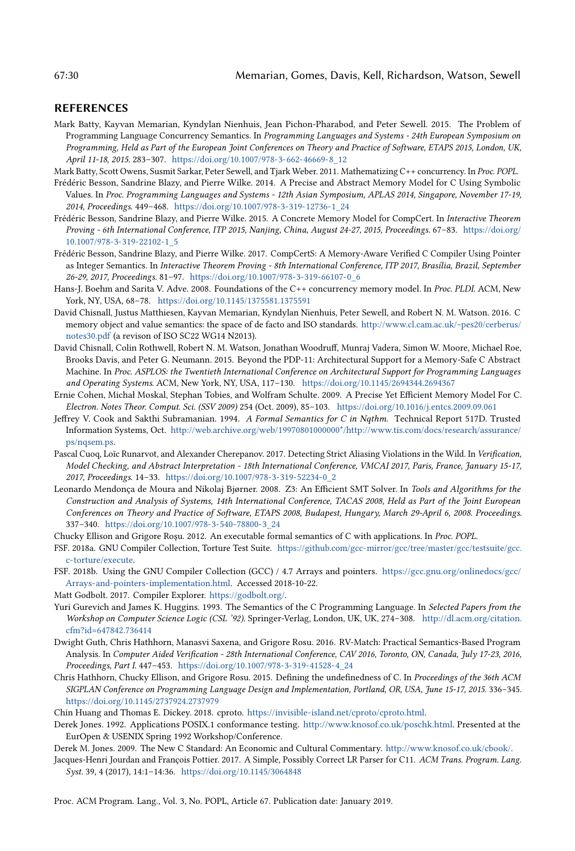#### REFERENCES

- <span id="page-29-6"></span>Mark Batty, Kayvan Memarian, Kyndylan Nienhuis, Jean Pichon-Pharabod, and Peter Sewell. 2015. The Problem of Programming Language Concurrency Semantics. In Programming Languages and Systems - 24th European Symposium on Programming, Held as Part of the European Joint Conferences on Theory and Practice of Software, ETAPS 2015, London, UK, April 11-18, 2015. 283–307. [https://doi.org/10.1007/978-3-662-46669-8\\_12](https://doi.org/10.1007/978-3-662-46669-8_12)
- <span id="page-29-12"></span>Mark Batty, Scott Owens, Susmit Sarkar, Peter Sewell, and Tjark Weber. 2011. Mathematizing C++ concurrency. In Proc. POPL.
- <span id="page-29-16"></span>Frédéric Besson, Sandrine Blazy, and Pierre Wilke. 2014. A Precise and Abstract Memory Model for C Using Symbolic Values. In Proc. Programming Languages and Systems - 12th Asian Symposium, APLAS 2014, Singapore, November 17-19, 2014, Proceedings. 449–468. [https://doi.org/10.1007/978-3-319-12736-1\\_24](https://doi.org/10.1007/978-3-319-12736-1_24)
- <span id="page-29-17"></span>Frédéric Besson, Sandrine Blazy, and Pierre Wilke. 2015. A Concrete Memory Model for CompCert. In Interactive Theorem Proving - 6th International Conference, ITP 2015, Nanjing, China, August 24-27, 2015, Proceedings. 67–83. [https://doi.org/](https://doi.org/10.1007/978-3-319-22102-1_5) [10.1007/978-3-319-22102-1\\_5](https://doi.org/10.1007/978-3-319-22102-1_5)
- <span id="page-29-19"></span>Frédéric Besson, Sandrine Blazy, and Pierre Wilke. 2017. CompCertS: A Memory-Aware Verified C Compiler Using Pointer as Integer Semantics. In Interactive Theorem Proving - 8th International Conference, ITP 2017, Brasília, Brazil, September 26-29, 2017, Proceedings. 81–97. [https://doi.org/10.1007/978-3-319-66107-0\\_6](https://doi.org/10.1007/978-3-319-66107-0_6)
- <span id="page-29-11"></span>Hans-J. Boehm and Sarita V. Adve. 2008. Foundations of the C++ concurrency memory model. In Proc. PLDI. ACM, New York, NY, USA, 68–78. <https://doi.org/10.1145/1375581.1375591>
- <span id="page-29-0"></span>David Chisnall, Justus Matthiesen, Kayvan Memarian, Kyndylan Nienhuis, Peter Sewell, and Robert N. M. Watson. 2016. C memory object and value semantics: the space of de facto and ISO standards. [http://www.cl.cam.ac.uk/~pes20/cerberus/](http://www.cl.cam.ac.uk/~pes20/cerberus/notes30.pdf) [notes30.pdf](http://www.cl.cam.ac.uk/~pes20/cerberus/notes30.pdf) (a revison of ISO SC22 WG14 N2013).
- <span id="page-29-2"></span>David Chisnall, Colin Rothwell, Robert N. M. Watson, Jonathan Woodruff, Munraj Vadera, Simon W. Moore, Michael Roe, Brooks Davis, and Peter G. Neumann. 2015. Beyond the PDP-11: Architectural Support for a Memory-Safe C Abstract Machine. In Proc. ASPLOS: the Twentieth International Conference on Architectural Support for Programming Languages and Operating Systems. ACM, New York, NY, USA, 117–130. <https://doi.org/10.1145/2694344.2694367>
- <span id="page-29-18"></span>Ernie Cohen, Michał Moskal, Stephan Tobies, and Wolfram Schulte. 2009. A Precise Yet Efficient Memory Model For C. Electron. Notes Theor. Comput. Sci. (SSV 2009) 254 (Oct. 2009), 85–103. <https://doi.org/10.1016/j.entcs.2009.09.061>
- <span id="page-29-13"></span>Jeffrey V. Cook and Sakthi Subramanian. 1994. A Formal Semantics for C in Nqthm. Technical Report 517D. Trusted Information Systems, Oct. [http://web.archive.org/web/19970801000000\\*/http://www.tis.com/docs/research/assurance/](http://web.archive.org/web/19970801000000*/http://www.tis.com/docs/research/assurance/ps/nqsem.ps) [ps/nqsem.ps.](http://web.archive.org/web/19970801000000*/http://www.tis.com/docs/research/assurance/ps/nqsem.ps)
- <span id="page-29-20"></span>Pascal Cuoq, Loïc Runarvot, and Alexander Cherepanov. 2017. Detecting Strict Aliasing Violations in the Wild. In Verification, Model Checking, and Abstract Interpretation - 18th International Conference, VMCAI 2017, Paris, France, January 15-17, 2017, Proceedings. 14–33. [https://doi.org/10.1007/978-3-319-52234-0\\_2](https://doi.org/10.1007/978-3-319-52234-0_2)
- <span id="page-29-8"></span>Leonardo Mendonça de Moura and Nikolaj Bjørner. 2008. Z3: An Efficient SMT Solver. In Tools and Algorithms for the Construction and Analysis of Systems, 14th International Conference, TACAS 2008, Held as Part of the Joint European Conferences on Theory and Practice of Software, ETAPS 2008, Budapest, Hungary, March 29-April 6, 2008. Proceedings. 337–340. [https://doi.org/10.1007/978-3-540-78800-3\\_24](https://doi.org/10.1007/978-3-540-78800-3_24)
- <span id="page-29-14"></span>Chucky Ellison and Grigore Roşu. 2012. An executable formal semantics of C with applications. In Proc. POPL.
- <span id="page-29-3"></span>FSF. 2018a. GNU Compiler Collection, Torture Test Suite. [https://github.com/gcc-mirror/gcc/tree/master/gcc/testsuite/gcc.](https://github.com/gcc-mirror/gcc/tree/master/gcc/testsuite/gcc.c-torture/execute) [c-torture/execute.](https://github.com/gcc-mirror/gcc/tree/master/gcc/testsuite/gcc.c-torture/execute)
- <span id="page-29-5"></span>FSF. 2018b. Using the GNU Compiler Collection (GCC) / 4.7 Arrays and pointers. [https://gcc.gnu.org/onlinedocs/gcc/](https://gcc.gnu.org/onlinedocs/gcc/Arrays-and-pointers-implementation.html) [Arrays-and-pointers-implementation.html.](https://gcc.gnu.org/onlinedocs/gcc/Arrays-and-pointers-implementation.html) Accessed 2018-10-22.
- <span id="page-29-9"></span>Matt Godbolt. 2017. Compiler Explorer. [https://godbolt.org/.](https://godbolt.org/)
- <span id="page-29-15"></span>Yuri Gurevich and James K. Huggins. 1993. The Semantics of the C Programming Language. In Selected Papers from the Workshop on Computer Science Logic (CSL '92). Springer-Verlag, London, UK, UK, 274–308. [http://dl.acm.org/citation.](http://dl.acm.org/citation.cfm?id=647842.736414) [cfm?id=647842.736414](http://dl.acm.org/citation.cfm?id=647842.736414)
- <span id="page-29-1"></span>Dwight Guth, Chris Hathhorn, Manasvi Saxena, and Grigore Rosu. 2016. RV-Match: Practical Semantics-Based Program Analysis. In Computer Aided Verification - 28th International Conference, CAV 2016, Toronto, ON, Canada, July 17-23, 2016, Proceedings, Part I. 447–453. [https://doi.org/10.1007/978-3-319-41528-4\\_24](https://doi.org/10.1007/978-3-319-41528-4_24)
- <span id="page-29-4"></span>Chris Hathhorn, Chucky Ellison, and Grigore Rosu. 2015. Defining the undefinedness of C. In Proceedings of the 36th ACM SIGPLAN Conference on Programming Language Design and Implementation, Portland, OR, USA, June 15-17, 2015. 336–345. <https://doi.org/10.1145/2737924.2737979>
- <span id="page-29-10"></span>Chin Huang and Thomas E. Dickey. 2018. cproto. [https://invisible-island.net/cproto/cproto.html.](https://invisible-island.net/cproto/cproto.html)
- <span id="page-29-21"></span>Derek Jones. 1992. Applications POSIX.1 conformance testing. [http://www.knosof.co.uk/poschk.html.](http://www.knosof.co.uk/poschk.html) Presented at the EurOpen & USENIX Spring 1992 Workshop/Conference.
- <span id="page-29-22"></span>Derek M. Jones. 2009. The New C Standard: An Economic and Cultural Commentary. [http://www.knosof.co.uk/cbook/.](http://www.knosof.co.uk/cbook/)
- <span id="page-29-7"></span>Jacques-Henri Jourdan and François Pottier. 2017. A Simple, Possibly Correct LR Parser for C11. ACM Trans. Program. Lang. Syst. 39, 4 (2017), 14:1–14:36. <https://doi.org/10.1145/3064848>

Proc. ACM Program. Lang., Vol. 3, No. POPL, Article 67. Publication date: January 2019.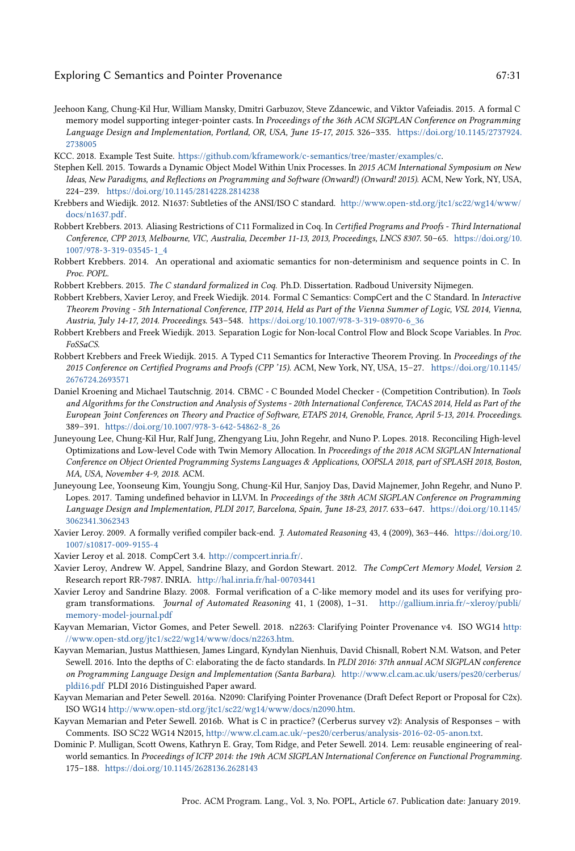- <span id="page-30-20"></span>Jeehoon Kang, Chung-Kil Hur, William Mansky, Dmitri Garbuzov, Steve Zdancewic, and Viktor Vafeiadis. 2015. A formal C memory model supporting integer-pointer casts. In Proceedings of the 36th ACM SIGPLAN Conference on Programming Language Design and Implementation, Portland, OR, USA, June 15-17, 2015. 326–335. [https://doi.org/10.1145/2737924.](https://doi.org/10.1145/2737924.2738005) [2738005](https://doi.org/10.1145/2737924.2738005)
- <span id="page-30-6"></span>KCC. 2018. Example Test Suite. [https://github.com/kframework/c-semantics/tree/master/examples/c.](https://github.com/kframework/c-semantics/tree/master/examples/c)
- <span id="page-30-10"></span>Stephen Kell. 2015. Towards a Dynamic Object Model Within Unix Processes. In 2015 ACM International Symposium on New Ideas, New Paradigms, and Reflections on Programming and Software (Onward!) (Onward! 2015). ACM, New York, NY, USA, 224–239. <https://doi.org/10.1145/2814228.2814238>
- <span id="page-30-11"></span>Krebbers and Wiedijk. 2012. N1637: Subtleties of the ANSI/ISO C standard. [http://www.open-std.org/jtc1/sc22/wg14/www/](http://www.open-std.org/jtc1/sc22/wg14/www/docs/n1637.pdf) [docs/n1637.pdf.](http://www.open-std.org/jtc1/sc22/wg14/www/docs/n1637.pdf)
- <span id="page-30-12"></span>Robbert Krebbers. 2013. Aliasing Restrictions of C11 Formalized in Coq. In Certified Programs and Proofs - Third International Conference, CPP 2013, Melbourne, VIC, Australia, December 11-13, 2013, Proceedings, LNCS 8307. 50–65. [https://doi.org/10.](https://doi.org/10.1007/978-3-319-03545-1_4) [1007/978-3-319-03545-1\\_4](https://doi.org/10.1007/978-3-319-03545-1_4)
- <span id="page-30-13"></span>Robbert Krebbers. 2014. An operational and axiomatic semantics for non-determinism and sequence points in C. In Proc. POPL.
- <span id="page-30-5"></span>Robbert Krebbers. 2015. The C standard formalized in Coq. Ph.D. Dissertation. Radboud University Nijmegen.
- <span id="page-30-18"></span>Robbert Krebbers, Xavier Leroy, and Freek Wiedijk. 2014. Formal C Semantics: CompCert and the C Standard. In Interactive Theorem Proving - 5th International Conference, ITP 2014, Held as Part of the Vienna Summer of Logic, VSL 2014, Vienna, Austria, July 14-17, 2014. Proceedings. 543–548. [https://doi.org/10.1007/978-3-319-08970-6\\_36](https://doi.org/10.1007/978-3-319-08970-6_36)
- <span id="page-30-14"></span>Robbert Krebbers and Freek Wiedijk. 2013. Separation Logic for Non-local Control Flow and Block Scope Variables. In Proc. FoSSaCS.
- <span id="page-30-15"></span>Robbert Krebbers and Freek Wiedijk. 2015. A Typed C11 Semantics for Interactive Theorem Proving. In Proceedings of the 2015 Conference on Certified Programs and Proofs (CPP '15). ACM, New York, NY, USA, 15–27. [https://doi.org/10.1145/](https://doi.org/10.1145/2676724.2693571) [2676724.2693571](https://doi.org/10.1145/2676724.2693571)
- <span id="page-30-19"></span>Daniel Kroening and Michael Tautschnig. 2014. CBMC - C Bounded Model Checker - (Competition Contribution). In Tools and Algorithms for the Construction and Analysis of Systems - 20th International Conference, TACAS 2014, Held as Part of the European Joint Conferences on Theory and Practice of Software, ETAPS 2014, Grenoble, France, April 5-13, 2014. Proceedings. 389–391. [https://doi.org/10.1007/978-3-642-54862-8\\_26](https://doi.org/10.1007/978-3-642-54862-8_26)
- <span id="page-30-2"></span>Juneyoung Lee, Chung-Kil Hur, Ralf Jung, Zhengyang Liu, John Regehr, and Nuno P. Lopes. 2018. Reconciling High-level Optimizations and Low-level Code with Twin Memory Allocation. In Proceedings of the 2018 ACM SIGPLAN International Conference on Object Oriented Programming Systems Languages & Applications, OOPSLA 2018, part of SPLASH 2018, Boston, MA, USA, November 4-9, 2018. ACM.
- <span id="page-30-21"></span>Juneyoung Lee, Yoonseung Kim, Youngju Song, Chung-Kil Hur, Sanjoy Das, David Majnemer, John Regehr, and Nuno P. Lopes. 2017. Taming undefined behavior in LLVM. In Proceedings of the 38th ACM SIGPLAN Conference on Programming Language Design and Implementation, PLDI 2017, Barcelona, Spain, June 18-23, 2017. 633–647. [https://doi.org/10.1145/](https://doi.org/10.1145/3062341.3062343) [3062341.3062343](https://doi.org/10.1145/3062341.3062343)
- <span id="page-30-3"></span>Xavier Leroy. 2009. A formally verified compiler back-end. J. Automated Reasoning 43, 4 (2009), 363–446. [https://doi.org/10.](https://doi.org/10.1007/s10817-009-9155-4) [1007/s10817-009-9155-4](https://doi.org/10.1007/s10817-009-9155-4)
- <span id="page-30-4"></span>Xavier Leroy et al. 2018. CompCert 3.4. [http://compcert.inria.fr/.](http://compcert.inria.fr/)
- <span id="page-30-16"></span>Xavier Leroy, Andrew W. Appel, Sandrine Blazy, and Gordon Stewart. 2012. The CompCert Memory Model, Version 2. Research report RR-7987. INRIA. <http://hal.inria.fr/hal-00703441>
- <span id="page-30-17"></span>Xavier Leroy and Sandrine Blazy. 2008. Formal verification of a C-like memory model and its uses for verifying program transformations. Journal of Automated Reasoning 41, 1 (2008), 1–31. [http://gallium.inria.fr/~xleroy/publi/](http://gallium.inria.fr/~xleroy/publi/memory-model-journal.pdf) [memory-model-journal.pdf](http://gallium.inria.fr/~xleroy/publi/memory-model-journal.pdf)
- <span id="page-30-7"></span>Kayvan Memarian, Victor Gomes, and Peter Sewell. 2018. n2263: Clarifying Pointer Provenance v4. ISO WG14 [http:](http://www.open-std.org/jtc1/sc22/wg14/www/docs/n2263.htm) [//www.open-std.org/jtc1/sc22/wg14/www/docs/n2263.htm.](http://www.open-std.org/jtc1/sc22/wg14/www/docs/n2263.htm)
- <span id="page-30-0"></span>Kayvan Memarian, Justus Matthiesen, James Lingard, Kyndylan Nienhuis, David Chisnall, Robert N.M. Watson, and Peter Sewell. 2016. Into the depths of C: elaborating the de facto standards. In PLDI 2016: 37th annual ACM SIGPLAN conference on Programming Language Design and Implementation (Santa Barbara). [http://www.cl.cam.ac.uk/users/pes20/cerberus/](http://www.cl.cam.ac.uk/users/pes20/cerberus/pldi16.pdf) [pldi16.pdf](http://www.cl.cam.ac.uk/users/pes20/cerberus/pldi16.pdf) PLDI 2016 Distinguished Paper award.
- <span id="page-30-8"></span>Kayvan Memarian and Peter Sewell. 2016a. N2090: Clarifying Pointer Provenance (Draft Defect Report or Proposal for C2x). ISO WG14 [http://www.open-std.org/jtc1/sc22/wg14/www/docs/n2090.htm.](http://www.open-std.org/jtc1/sc22/wg14/www/docs/n2090.htm)
- <span id="page-30-1"></span>Kayvan Memarian and Peter Sewell. 2016b. What is C in practice? (Cerberus survey v2): Analysis of Responses – with Comments. ISO SC22 WG14 N2015, [http://www.cl.cam.ac.uk/~pes20/cerberus/analysis-2016-02-05-anon.txt.](http://www.cl.cam.ac.uk/~pes20/cerberus/analysis-2016-02-05-anon.txt)
- <span id="page-30-9"></span>Dominic P. Mulligan, Scott Owens, Kathryn E. Gray, Tom Ridge, and Peter Sewell. 2014. Lem: reusable engineering of realworld semantics. In Proceedings of ICFP 2014: the 19th ACM SIGPLAN International Conference on Functional Programming. 175–188. <https://doi.org/10.1145/2628136.2628143>